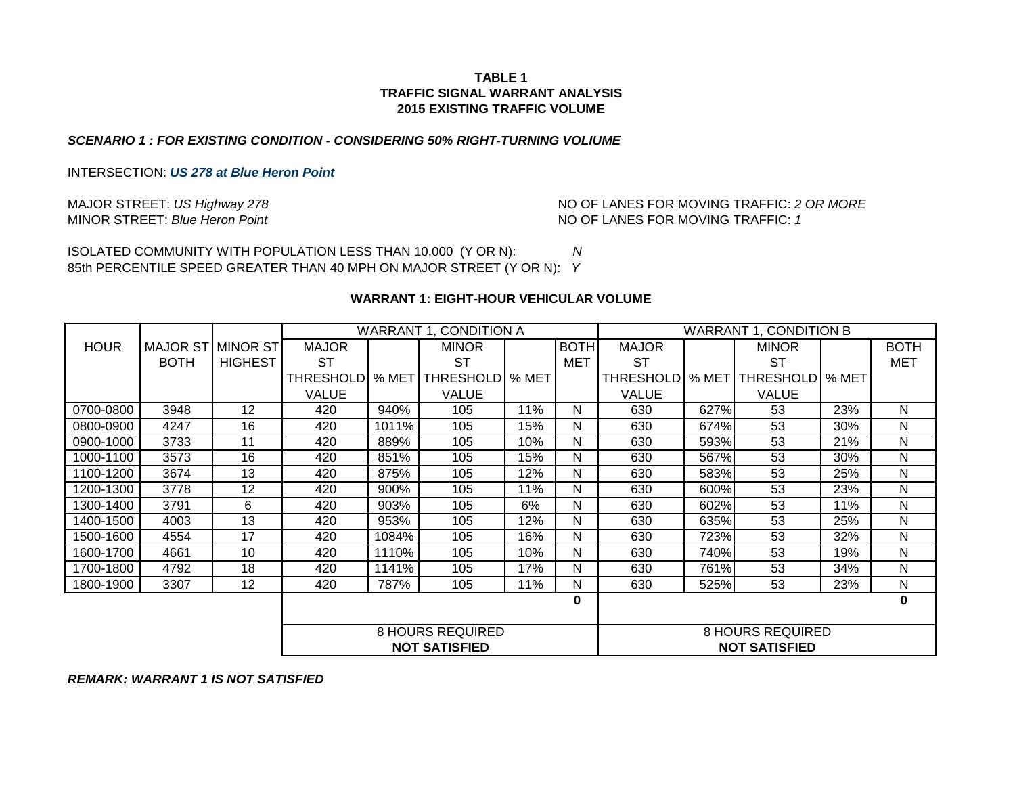#### *SCENARIO 1 : FOR EXISTING CONDITION - CONSIDERING 50% RIGHT-TURNING VOLIUME*

INTERSECTION: *US 278 at Blue Heron Point*

MINOR STREET: Blue Heron Point **No. 2 and St. 2 and St. 2 and St. 2 and St. 2 and No. 2 and NO OF LANES FOR MOVING TRAFFIC: 1** MAJOR STREET: *US Highway 278*  $\blacksquare$  NO OF LANES FOR MOVING TRAFFIC: 2 OR MORE

ISOLATED COMMUNITY WITH POPULATION LESS THAN 10,000 (Y OR N): *N* 85th PERCENTILE SPEED GREATER THAN 40 MPH ON MAJOR STREET (Y OR N): *Y*

#### **WARRANT 1: EIGHT-HOUR VEHICULAR VOLUME**

|             |                   |                |                         |       |                      | WARRANT 1, CONDITION A |                         |                   | <b>WARRANT 1, CONDITION B</b> |                      |       |              |
|-------------|-------------------|----------------|-------------------------|-------|----------------------|------------------------|-------------------------|-------------------|-------------------------------|----------------------|-------|--------------|
| <b>HOUR</b> | MAJOR ST MINOR ST |                | <b>MAJOR</b>            |       | <b>MINOR</b>         |                        | <b>BOTH</b>             | <b>MAJOR</b>      |                               | <b>MINOR</b>         |       | <b>BOTH</b>  |
|             | <b>BOTH</b>       | <b>HIGHEST</b> | ST                      |       | <b>ST</b>            |                        | <b>MET</b>              | <b>ST</b>         |                               | <b>ST</b>            |       | <b>MET</b>   |
|             |                   |                | <b>THRESHOLDI</b>       | % MET | <b>THRESHOLD</b>     | % MET                  |                         | <b>THRESHOLDI</b> | % MET                         | <b>THRESHOLD</b>     | % MET |              |
|             |                   |                | <b>VALUE</b>            |       | <b>VALUE</b>         |                        |                         | VALUE             |                               | <b>VALUE</b>         |       |              |
| 0700-0800   | 3948              | 12             | 420                     | 940%  | 105                  | 11%                    | N                       | 630               | 627%                          | 53                   | 23%   | N            |
| 0800-0900   | 4247              | 16             | 420                     | 1011% | 105                  | 15%                    | N                       | 630               | 674%                          | 53                   | 30%   | N            |
| 0900-1000   | 3733              | 11             | 420                     | 889%  | 105                  | 10%                    | N                       | 630               | 593%                          | 53                   | 21%   | N            |
| 1000-1100   | 3573              | 16             | 420                     | 851%  | 105                  | 15%                    | N                       | 630               | 567%                          | 53                   | 30%   | N            |
| 1100-1200   | 3674              | 13             | 420                     | 875%  | 105                  | 12%                    | N                       | 630               | 583%                          | 53                   | 25%   | N            |
| 1200-1300   | 3778              | 12             | 420                     | 900%  | 105                  | 11%                    | N                       | 630               | 600%                          | 53                   | 23%   | N            |
| 1300-1400   | 3791              | 6              | 420                     | 903%  | 105                  | 6%                     | N                       | 630               | 602%                          | 53                   | 11%   | N            |
| 1400-1500   | 4003              | 13             | 420                     | 953%  | 105                  | 12%                    | N                       | 630               | 635%                          | 53                   | 25%   | $\mathsf{N}$ |
| 1500-1600   | 4554              | 17             | 420                     | 1084% | 105                  | 16%                    | N                       | 630               | 723%                          | 53                   | 32%   | N            |
| 1600-1700   | 4661              | 10             | 420                     | 1110% | 105                  | 10%                    | N                       | 630               | 740%                          | 53                   | 19%   | N            |
| 1700-1800   | 4792              | 18             | 420                     | 1141% | 105                  | 17%                    | N                       | 630               | 761%                          | 53                   | 34%   | N            |
| 1800-1900   | 3307              | 12             | 420                     | 787%  | 105                  | 11%                    | N                       | 630               | 525%                          | 53                   | 23%   | N            |
|             |                   |                |                         |       |                      |                        | 0                       |                   |                               |                      |       | 0            |
|             |                   |                |                         |       |                      |                        |                         |                   |                               |                      |       |              |
|             |                   |                | <b>8 HOURS REQUIRED</b> |       |                      |                        | <b>8 HOURS REQUIRED</b> |                   |                               |                      |       |              |
|             |                   |                |                         |       | <b>NOT SATISFIED</b> |                        |                         |                   |                               | <b>NOT SATISFIED</b> |       |              |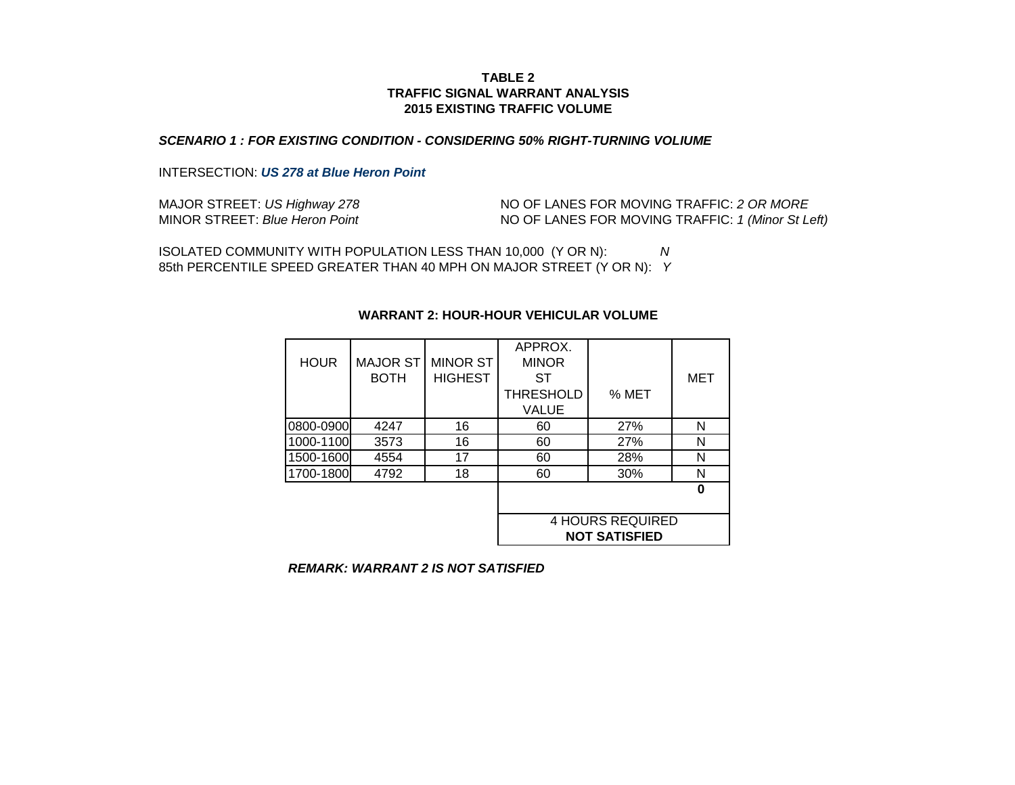#### *SCENARIO 1 : FOR EXISTING CONDITION - CONSIDERING 50% RIGHT-TURNING VOLIUME*

## INTERSECTION: *US 278 at Blue Heron Point*

| MAJOR STREET: US Highway 278   | NO OF LANES FOR MOVING TRAFFIC: 2 OR MORE         |
|--------------------------------|---------------------------------------------------|
| MINOR STREET: Blue Heron Point | NO OF LANES FOR MOVING TRAFFIC: 1 (Minor St Left) |

ISOLATED COMMUNITY WITH POPULATION LESS THAN 10,000 (Y OR N): *N* 85th PERCENTILE SPEED GREATER THAN 40 MPH ON MAJOR STREET (Y OR N): *Y*

| <b>HOUR</b> | <b>MAJOR ST</b><br><b>BOTH</b> | <b>MINOR ST</b><br><b>HIGHEST</b> | APPROX.<br><b>MINOR</b><br>SТ<br><b>THRESHOLD</b> | % MET                                           | MET |
|-------------|--------------------------------|-----------------------------------|---------------------------------------------------|-------------------------------------------------|-----|
|             |                                |                                   | VALUE                                             |                                                 |     |
| 0800-0900   | 4247                           | 16                                | 60                                                | 27%                                             | N   |
| 1000-1100   | 3573                           | 16                                | 60                                                | 27%                                             | N   |
| 1500-1600   | 4554                           | 17                                | 60                                                | 28%                                             | N   |
| 1700-1800   | 4792                           | 18                                | 60                                                | 30%                                             | N   |
|             |                                |                                   |                                                   |                                                 | Λ   |
|             |                                |                                   |                                                   | <b>4 HOURS REQUIRED</b><br><b>NOT SATISFIED</b> |     |

#### **WARRANT 2: HOUR-HOUR VEHICULAR VOLUME**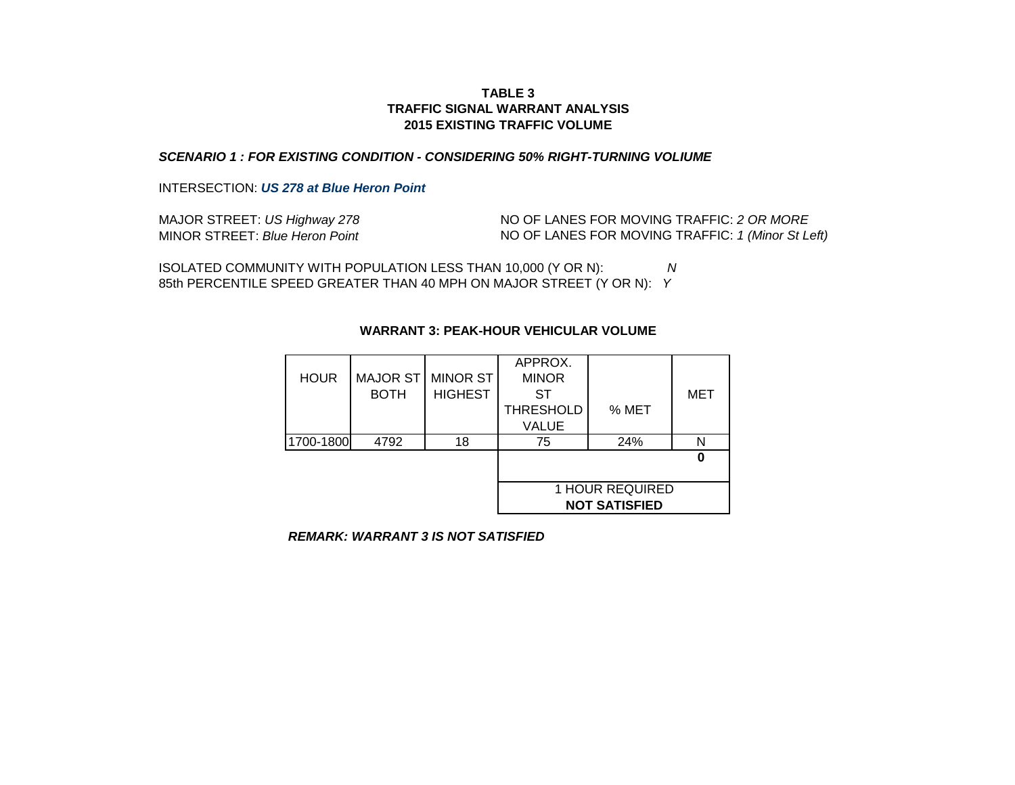### *SCENARIO 1 : FOR EXISTING CONDITION - CONSIDERING 50% RIGHT-TURNING VOLIUME*

INTERSECTION: *US 278 at Blue Heron Point*

| MAJOR STREET: US Highway 278   | NO OF LANES FOR MOVING TRAFFIC: 2 OR MORE         |
|--------------------------------|---------------------------------------------------|
| MINOR STREET: Blue Heron Point | NO OF LANES FOR MOVING TRAFFIC: 1 (Minor St Left) |

ISOLATED COMMUNITY WITH POPULATION LESS THAN 10,000 (Y OR N): *N* 85th PERCENTILE SPEED GREATER THAN 40 MPH ON MAJOR STREET (Y OR N): *Y*

|             |                 |                 | APPROX.          |                      |     |
|-------------|-----------------|-----------------|------------------|----------------------|-----|
| <b>HOUR</b> | <b>MAJOR ST</b> | <b>MINOR ST</b> | <b>MINOR</b>     |                      |     |
|             | <b>BOTH</b>     | <b>HIGHEST</b>  | ST               |                      | MET |
|             |                 |                 | <b>THRESHOLD</b> | % MET                |     |
|             |                 |                 | <b>VALUE</b>     |                      |     |
| 1700-1800   | 4792            | 18              | 75               | 24%                  | N   |
|             |                 |                 |                  |                      |     |
|             |                 |                 |                  |                      |     |
|             |                 |                 |                  | 1 HOUR REQUIRED      |     |
|             |                 |                 |                  | <b>NOT SATISFIED</b> |     |

# **WARRANT 3: PEAK-HOUR VEHICULAR VOLUME**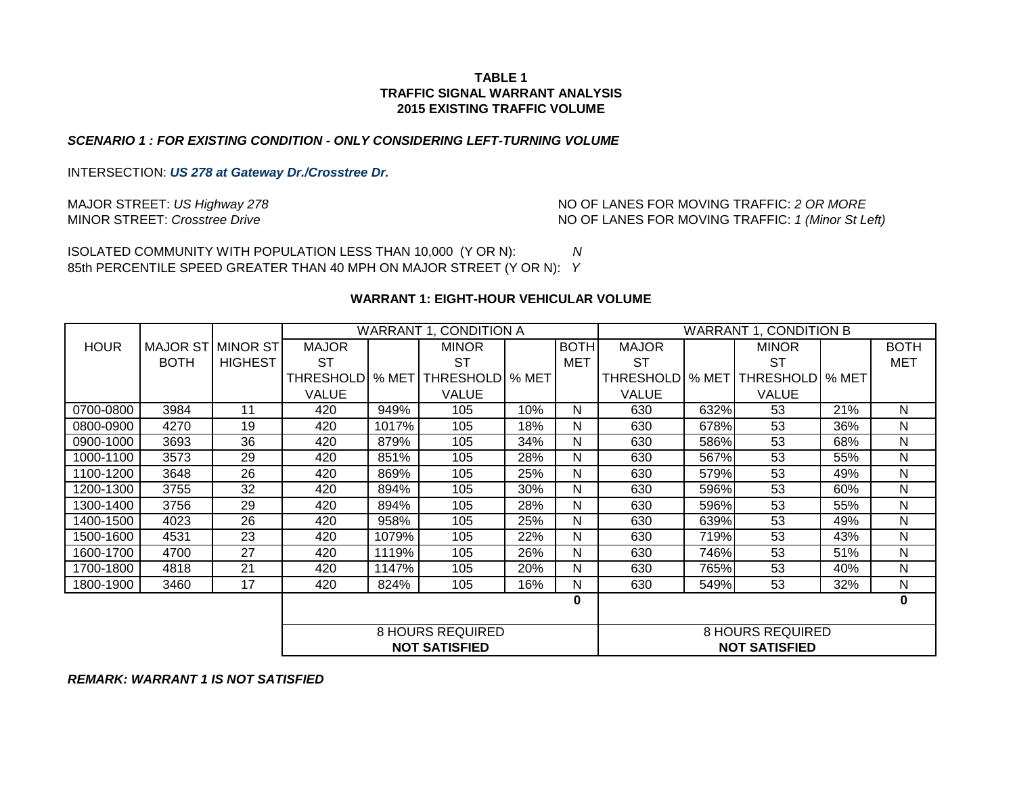#### *SCENARIO 1 : FOR EXISTING CONDITION - ONLY CONSIDERING LEFT-TURNING VOLUME*

INTERSECTION: *US 278 at Gateway Dr./Crosstree Dr.*

MAJOR STREET: *US Highway 278* MINOR STREET: *Crosstree Drive*

NO OF LANES FOR MOVING TRAFFIC: *1 (Minor St Left)* NO OF LANES FOR MOVING TRAFFIC: *2 OR MORE*

ISOLATED COMMUNITY WITH POPULATION LESS THAN 10,000 (Y OR N): *N* 85th PERCENTILE SPEED GREATER THAN 40 MPH ON MAJOR STREET (Y OR N): *Y*

#### **WARRANT 1: EIGHT-HOUR VEHICULAR VOLUME**

|             |             |                | WARRANT 1, CONDITION A  |       |                      | <b>WARRANT 1, CONDITION B</b> |                  |                  |       |                      |       |             |
|-------------|-------------|----------------|-------------------------|-------|----------------------|-------------------------------|------------------|------------------|-------|----------------------|-------|-------------|
| <b>HOUR</b> | MAJOR ST    | MINOR ST       | <b>MAJOR</b>            |       | <b>MINOR</b>         |                               | <b>BOTH</b>      | <b>MAJOR</b>     |       | <b>MINOR</b>         |       | <b>BOTH</b> |
|             | <b>BOTH</b> | <b>HIGHEST</b> | ST                      |       | SТ                   |                               | MET              | <b>ST</b>        |       | <b>ST</b>            |       | <b>MET</b>  |
|             |             |                | <b>THRESHOLDI</b>       | % MET | THRESHOLD   % MET    |                               |                  | <b>THRESHOLD</b> | % MET | <b>THRESHOLD</b>     | % MET |             |
|             |             |                | <b>VALUE</b>            |       | <b>VALUE</b>         |                               |                  | <b>VALUE</b>     |       | <b>VALUE</b>         |       |             |
| 0700-0800   | 3984        | 11             | 420                     | 949%  | 105                  | 10%                           | N                | 630              | 632%  | 53                   | 21%   | N           |
| 0800-0900   | 4270        | 19             | 420                     | 1017% | 105                  | 18%                           | N                | 630              | 678%  | 53                   | 36%   | N           |
| 0900-1000   | 3693        | 36             | 420                     | 879%  | 105                  | 34%                           | N                | 630              | 586%  | 53                   | 68%   | N           |
| 1000-1100   | 3573        | 29             | 420                     | 851%  | 105                  | 28%                           | N                | 630              | 567%  | 53                   | 55%   | N           |
| 1100-1200   | 3648        | 26             | 420                     | 869%  | 105                  | 25%                           | N                | 630              | 579%  | 53                   | 49%   | N           |
| 1200-1300   | 3755        | 32             | 420                     | 894%  | 105                  | 30%                           | N                | 630              | 596%  | 53                   | 60%   | N           |
| 1300-1400   | 3756        | 29             | 420                     | 894%  | 105                  | 28%                           | N                | 630              | 596%  | 53                   | 55%   | N           |
| 1400-1500   | 4023        | 26             | 420                     | 958%  | 105                  | 25%                           | N                | 630              | 639%  | 53                   | 49%   | N           |
| 1500-1600   | 4531        | 23             | 420                     | 1079% | 105                  | 22%                           | N                | 630              | 719%  | 53                   | 43%   | N           |
| 1600-1700   | 4700        | 27             | 420                     | 1119% | 105                  | 26%                           | N                | 630              | 746%  | 53                   | 51%   | N           |
| 1700-1800   | 4818        | 21             | 420                     | 1147% | 105                  | 20%                           | N                | 630              | 765%  | 53                   | 40%   | N           |
| 1800-1900   | 3460        | 17             | 420                     | 824%  | 105                  | 16%                           | N                | 630              | 549%  | 53                   | 32%   | N           |
|             |             |                |                         |       |                      |                               | 0                |                  |       |                      |       | 0           |
|             |             |                |                         |       |                      |                               |                  |                  |       |                      |       |             |
|             |             |                | <b>8 HOURS REQUIRED</b> |       |                      |                               | 8 HOURS REQUIRED |                  |       |                      |       |             |
|             |             |                |                         |       | <b>NOT SATISFIED</b> |                               |                  |                  |       | <b>NOT SATISFIED</b> |       |             |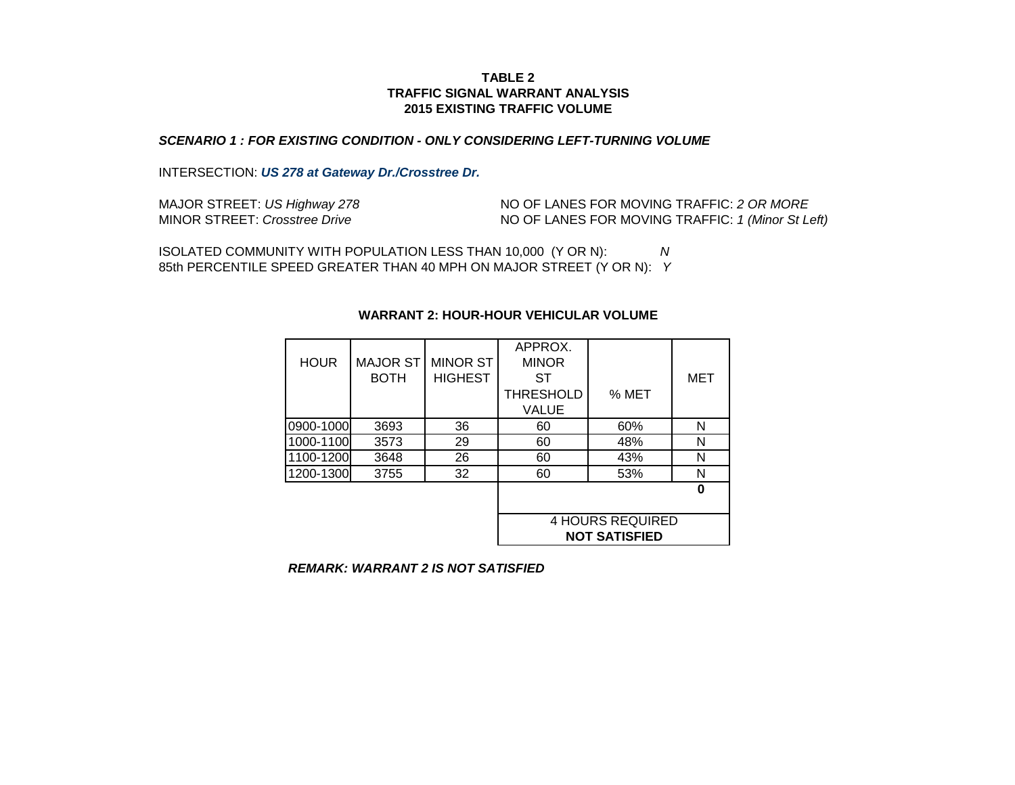#### *SCENARIO 1 : FOR EXISTING CONDITION - ONLY CONSIDERING LEFT-TURNING VOLUME*

INTERSECTION: *US 278 at Gateway Dr./Crosstree Dr.*

| MAJOR STREET: US Highway 278  | NO OF LANES FOR MOVING TRAFFIC: 2 OR MORE         |
|-------------------------------|---------------------------------------------------|
| MINOR STREET: Crosstree Drive | NO OF LANES FOR MOVING TRAFFIC: 1 (Minor St Left) |

ISOLATED COMMUNITY WITH POPULATION LESS THAN 10,000 (Y OR N): *N* 85th PERCENTILE SPEED GREATER THAN 40 MPH ON MAJOR STREET (Y OR N): *Y*

| <b>HOUR</b> | <b>MAJOR ST</b><br><b>BOTH</b> | <b>MINOR ST</b><br><b>HIGHEST</b> | APPROX.<br><b>MINOR</b><br>ST<br><b>THRESHOLD</b><br><b>VALUE</b> | % MET                                           | MET |
|-------------|--------------------------------|-----------------------------------|-------------------------------------------------------------------|-------------------------------------------------|-----|
| 0900-1000   | 3693                           | 36                                | 60                                                                | 60%                                             | N   |
| 1000-1100   | 3573                           | 29                                | 60                                                                | 48%                                             | N   |
| 1100-1200   | 3648                           | 26                                | 60                                                                | 43%                                             | N   |
| 1200-1300   | 3755                           | 32                                | 60                                                                | 53%                                             | N   |
|             |                                |                                   |                                                                   |                                                 | ŋ   |
|             |                                |                                   |                                                                   | <b>4 HOURS REQUIRED</b><br><b>NOT SATISFIED</b> |     |

#### **WARRANT 2: HOUR-HOUR VEHICULAR VOLUME**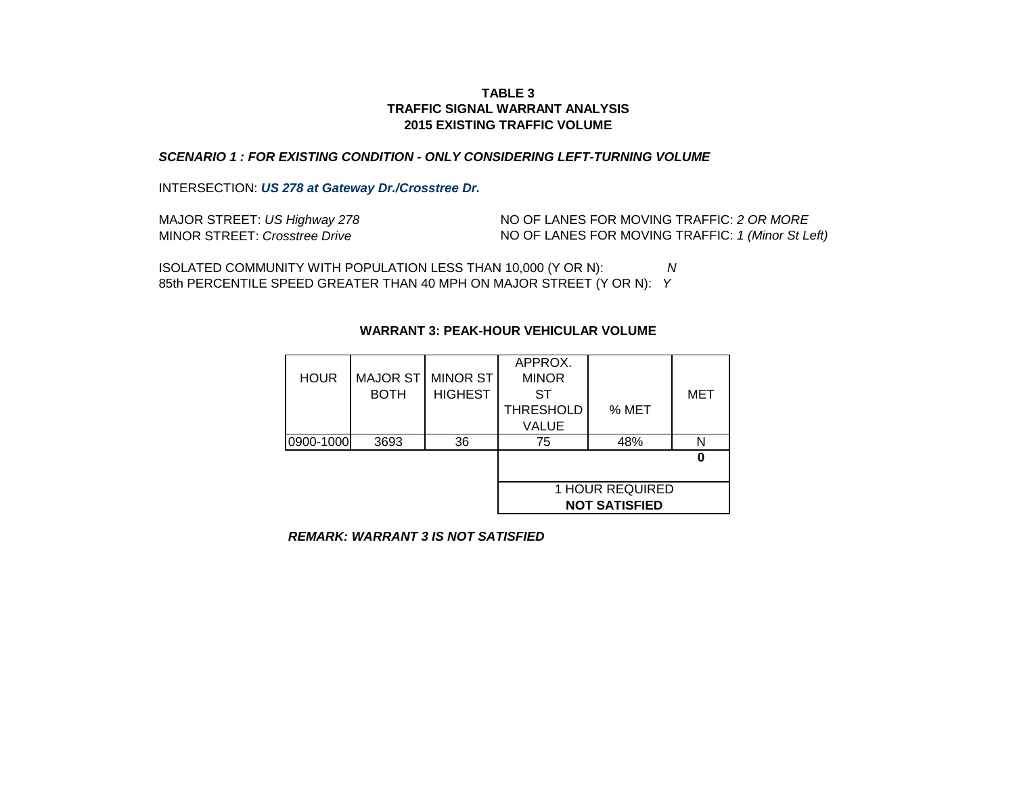## **2015 EXISTING TRAFFIC VOLUME TABLE 3 TRAFFIC SIGNAL WARRANT ANALYSIS**

# *SCENARIO 1 : FOR EXISTING CONDITION - ONLY CONSIDERING LEFT-TURNING VOLUME*

INTERSECTION: *US 278 at Gateway Dr./Crosstree Dr.*

| MAJOR STREET: US Highway 278  | NO OF LANES FOR MOVING TRAFFIC: 2 OR MORE         |
|-------------------------------|---------------------------------------------------|
| MINOR STREET: Crosstree Drive | NO OF LANES FOR MOVING TRAFFIC: 1 (Minor St Left) |

85th PERCENTILE SPEED GREATER THAN 40 MPH ON MAJOR STREET (Y OR N): *Y* ISOLATED COMMUNITY WITH POPULATION LESS THAN 10,000 (Y OR N): *N*

|             |                 |                 | APPROX.          |                        |     |
|-------------|-----------------|-----------------|------------------|------------------------|-----|
| <b>HOUR</b> | <b>MAJOR ST</b> | <b>MINOR ST</b> | <b>MINOR</b>     |                        |     |
|             | <b>BOTH</b>     | <b>HIGHEST</b>  | ST               |                        | MET |
|             |                 |                 | <b>THRESHOLD</b> | % MET                  |     |
|             |                 |                 | <b>VALUE</b>     |                        |     |
| 0900-1000   | 3693            | 36              | 75               | 48%                    |     |
|             |                 |                 |                  |                        |     |
|             |                 |                 |                  |                        |     |
|             |                 |                 |                  | <b>1 HOUR REQUIRED</b> |     |
|             |                 |                 |                  | <b>NOT SATISFIED</b>   |     |

# **WARRANT 3: PEAK-HOUR VEHICULAR VOLUME**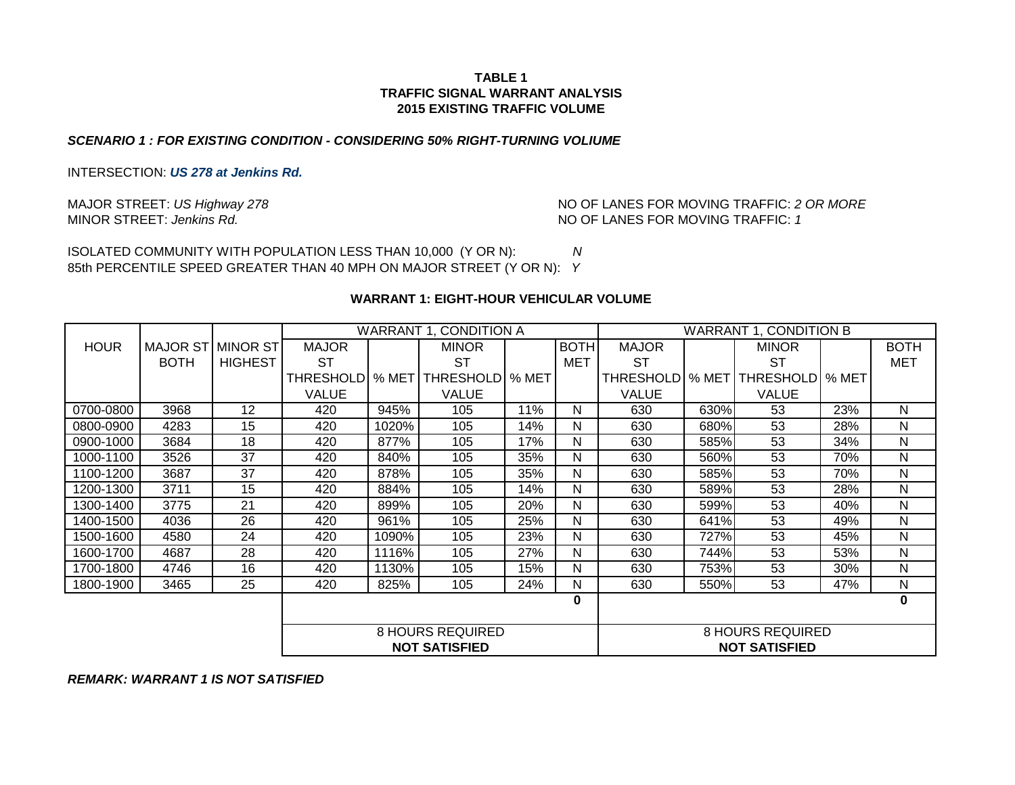#### *SCENARIO 1 : FOR EXISTING CONDITION - CONSIDERING 50% RIGHT-TURNING VOLIUME*

INTERSECTION: *US 278 at Jenkins Rd.*

MINOR STREET: Jenkins Rd. 2008 and 2009 and 2009 and 2009 and 2009 and 2009 and 2009 and 2009 and 2009 and 2009 and 2009 and 2009 and 2009 and 2009 and 2009 and 2009 and 2009 and 2009 and 2009 and 2009 and 2009 and 2009 an MAJOR STREET: *US Highway 278*  $\blacksquare$  NO OF LANES FOR MOVING TRAFFIC: 2 OR MORE

ISOLATED COMMUNITY WITH POPULATION LESS THAN 10,000 (Y OR N): *N* 85th PERCENTILE SPEED GREATER THAN 40 MPH ON MAJOR STREET (Y OR N): *Y*

#### **WARRANT 1: EIGHT-HOUR VEHICULAR VOLUME**

|             |                   |                |                         |                      | WARRANT 1, CONDITION A |       |             | <b>WARRANT 1, CONDITION B</b> |                  |                      |         |             |
|-------------|-------------------|----------------|-------------------------|----------------------|------------------------|-------|-------------|-------------------------------|------------------|----------------------|---------|-------------|
| <b>HOUR</b> | MAJOR ST MINOR ST |                | <b>MAJOR</b>            |                      | <b>MINOR</b>           |       | <b>BOTH</b> | <b>MAJOR</b>                  |                  | <b>MINOR</b>         |         | <b>BOTH</b> |
|             | <b>BOTH</b>       | <b>HIGHEST</b> | SТ                      |                      | ST                     |       | MET         | ST                            |                  | ST                   |         | MET         |
|             |                   |                | THRESHOLDI              | % MET                | <b>THRESHOLD</b>       | % MET |             | <b>THRESHOLDI</b>             | % MET            | <b>THRESHOLD</b>     | l % MET |             |
|             |                   |                | <b>VALUE</b>            |                      | <b>VALUE</b>           |       |             | <b>VALUE</b>                  |                  | <b>VALUE</b>         |         |             |
| 0700-0800   | 3968              | 12             | 420                     | 945%                 | 105                    | 11%   | N           | 630                           | 630%             | 53                   | 23%     | N           |
| 0800-0900   | 4283              | 15             | 420                     | 1020%                | 105                    | 14%   | N           | 630                           | 680%             | 53                   | 28%     | N           |
| 0900-1000   | 3684              | 18             | 420                     | 877%                 | 105                    | 17%   | N           | 630                           | 585%             | 53                   | 34%     | N           |
| 1000-1100   | 3526              | 37             | 420                     | 840%                 | 105                    | 35%   | N           | 630                           | 560%             | 53                   | 70%     | N           |
| 1100-1200   | 3687              | 37             | 420                     | 878%                 | 105                    | 35%   | N           | 630                           | 585%             | 53                   | 70%     | N           |
| 1200-1300   | 3711              | 15             | 420                     | 884%                 | 105                    | 14%   | N           | 630                           | 589%             | 53                   | 28%     | N           |
| 1300-1400   | 3775              | 21             | 420                     | 899%                 | 105                    | 20%   | N           | 630                           | 599%             | 53                   | 40%     | N           |
| 1400-1500   | 4036              | 26             | 420                     | 961%                 | 105                    | 25%   | N           | 630                           | 641%             | 53                   | 49%     | N           |
| 1500-1600   | 4580              | 24             | 420                     | 1090%                | 105                    | 23%   | N           | 630                           | 727%             | 53                   | 45%     | N           |
| 1600-1700   | 4687              | 28             | 420                     | 1116%                | 105                    | 27%   | N           | 630                           | 744%             | 53                   | 53%     | N           |
| 1700-1800   | 4746              | 16             | 420                     | 1130%                | 105                    | 15%   | N           | 630                           | 753%             | 53                   | 30%     | N           |
| 1800-1900   | 3465              | 25             | 420                     | 825%                 | 105                    | 24%   | N           | 630                           | 550%             | 53                   | 47%     | N           |
|             |                   |                |                         |                      |                        |       | 0           |                               |                  |                      |         | $\mathbf 0$ |
|             |                   |                |                         |                      |                        |       |             |                               |                  |                      |         |             |
|             |                   |                | <b>8 HOURS REQUIRED</b> |                      |                        |       |             |                               | 8 HOURS REQUIRED |                      |         |             |
|             |                   |                |                         | <b>NOT SATISFIED</b> |                        |       |             |                               |                  | <b>NOT SATISFIED</b> |         |             |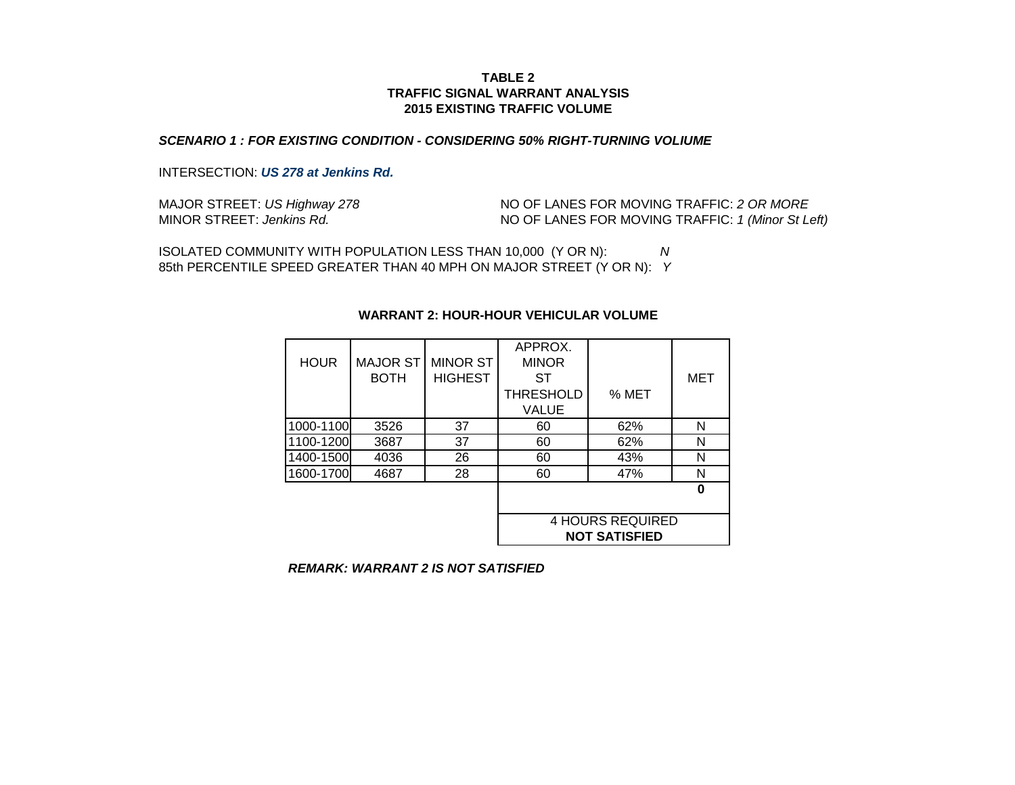#### *SCENARIO 1 : FOR EXISTING CONDITION - CONSIDERING 50% RIGHT-TURNING VOLIUME*

#### INTERSECTION: *US 278 at Jenkins Rd.*

| MAJOR STREET: US Highway 278 | NO OF LANES FOR MOVING TRAFFIC: 2 OR MORE         |
|------------------------------|---------------------------------------------------|
| MINOR STREET: Jenkins Rd.    | NO OF LANES FOR MOVING TRAFFIC: 1 (Minor St Left) |

ISOLATED COMMUNITY WITH POPULATION LESS THAN 10,000 (Y OR N): *N* 85th PERCENTILE SPEED GREATER THAN 40 MPH ON MAJOR STREET (Y OR N): *Y*

| <b>HOUR</b> | <b>MAJOR ST</b><br><b>BOTH</b> | <b>MINOR ST</b><br><b>HIGHEST</b> | APPROX.<br><b>MINOR</b><br>SТ |                                                 | MET |
|-------------|--------------------------------|-----------------------------------|-------------------------------|-------------------------------------------------|-----|
|             |                                |                                   | <b>THRESHOLD</b><br>VALUE     | % MET                                           |     |
| 1000-1100   | 3526                           | 37                                | 60                            | 62%                                             | N   |
| 1100-1200   | 3687                           | 37                                | 60                            | 62%                                             | N   |
| 1400-1500   | 4036                           | 26                                | 60                            | 43%                                             | N   |
| 1600-1700   | 4687                           | 28                                | 60                            | 47%                                             | N   |
|             |                                |                                   |                               |                                                 | Λ   |
|             |                                |                                   |                               | <b>4 HOURS REQUIRED</b><br><b>NOT SATISFIED</b> |     |

#### **WARRANT 2: HOUR-HOUR VEHICULAR VOLUME**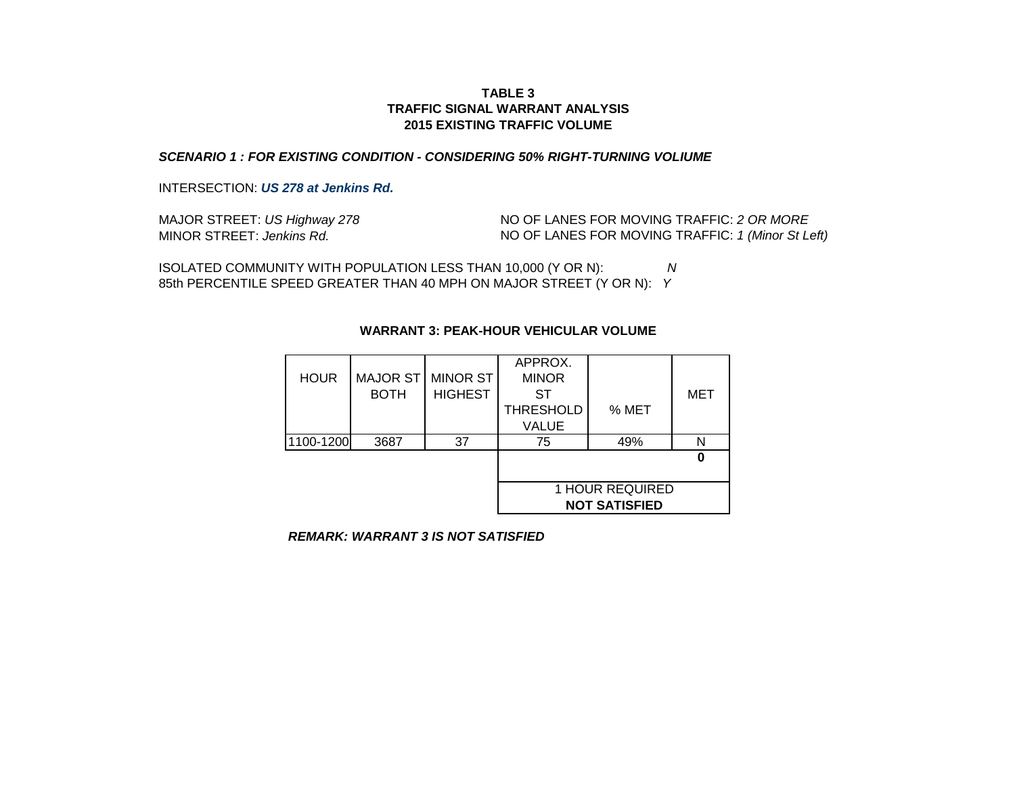#### *SCENARIO 1 : FOR EXISTING CONDITION - CONSIDERING 50% RIGHT-TURNING VOLIUME*

INTERSECTION: *US 278 at Jenkins Rd.*

| MAJOR STREET: US Highway 278 | NO OF LANES FOR MOVING TRAFFIC: 2 OR MORE         |
|------------------------------|---------------------------------------------------|
| MINOR STREET: Jenkins Rd.    | NO OF LANES FOR MOVING TRAFFIC: 1 (Minor St Left) |

ISOLATED COMMUNITY WITH POPULATION LESS THAN 10,000 (Y OR N): *N* 85th PERCENTILE SPEED GREATER THAN 40 MPH ON MAJOR STREET (Y OR N): *Y*

|             |                 |                | APPROX.          |                      |     |
|-------------|-----------------|----------------|------------------|----------------------|-----|
| <b>HOUR</b> | <b>MAJOR ST</b> | MINOR ST       | <b>MINOR</b>     |                      |     |
|             | <b>BOTH</b>     | <b>HIGHEST</b> | ST               |                      | MET |
|             |                 |                | <b>THRESHOLD</b> | % MET                |     |
|             |                 |                | <b>VALUE</b>     |                      |     |
| 1100-1200   | 3687            | 37             | 75               | 49%                  |     |
|             |                 |                |                  |                      |     |
|             |                 |                |                  |                      |     |
|             |                 |                |                  | 1 HOUR REQUIRED      |     |
|             |                 |                |                  | <b>NOT SATISFIED</b> |     |

# **WARRANT 3: PEAK-HOUR VEHICULAR VOLUME**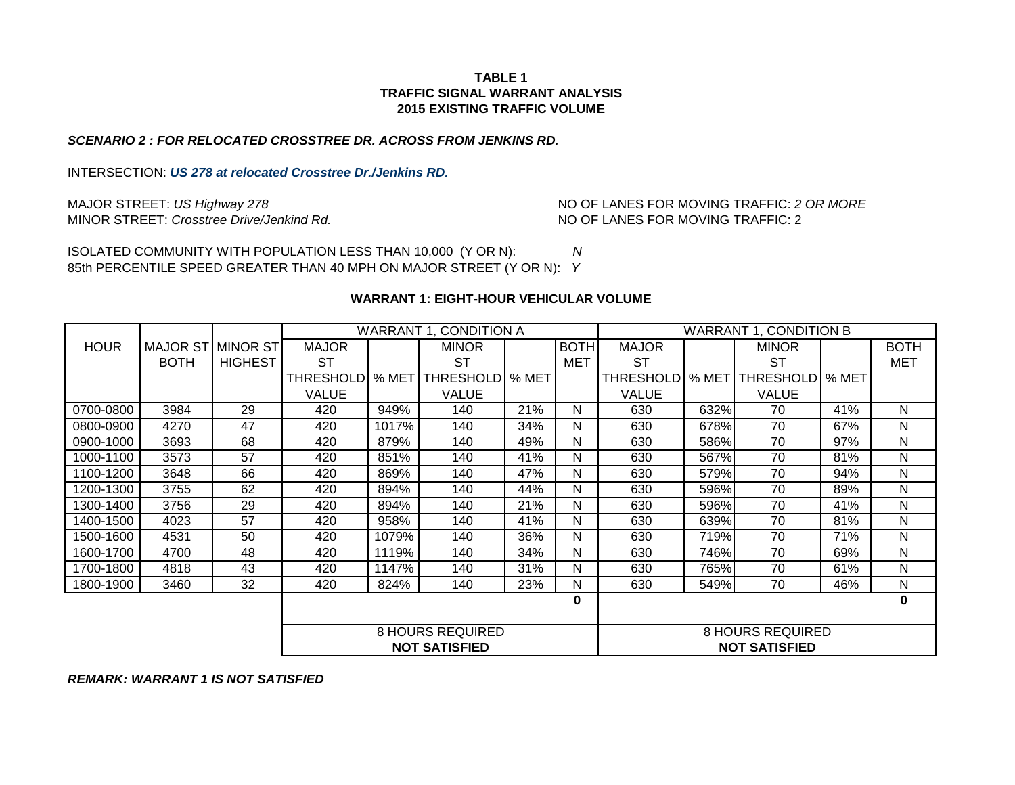## **2015 EXISTING TRAFFIC VOLUME TABLE 1 TRAFFIC SIGNAL WARRANT ANALYSIS**

#### *SCENARIO 2 : FOR RELOCATED CROSSTREE DR. ACROSS FROM JENKINS RD.*

INTERSECTION: *US 278 at relocated Crosstree Dr./Jenkins RD.*

MAJOR STREET: *US Highway 278* MINOR STREET: *Crosstree Drive/Jenkind Rd.* NO OF LANES FOR MOVING TRAFFIC: 2 NO OF LANES FOR MOVING TRAFFIC: *2 OR MORE*

85th PERCENTILE SPEED GREATER THAN 40 MPH ON MAJOR STREET (Y OR N): *Y* ISOLATED COMMUNITY WITH POPULATION LESS THAN 10,000 (Y OR N): *N*

#### **WARRANT 1: EIGHT-HOUR VEHICULAR VOLUME**

|             |                   |                | WARRANT 1, CONDITION A |       |                         |       |             | <b>WARRANT 1, CONDITION B</b> |       |                         |       |              |
|-------------|-------------------|----------------|------------------------|-------|-------------------------|-------|-------------|-------------------------------|-------|-------------------------|-------|--------------|
| <b>HOUR</b> | MAJOR ST MINOR ST |                | <b>MAJOR</b>           |       | <b>MINOR</b>            |       | <b>BOTH</b> | <b>MAJOR</b>                  |       | <b>MINOR</b>            |       | <b>BOTH</b>  |
|             | <b>BOTH</b>       | <b>HIGHEST</b> | ST                     |       | ST                      |       | <b>MET</b>  | SТ                            |       | <b>ST</b>               |       | MET          |
|             |                   |                | THRESHOLDI             | % MET | <b>THRESHOLD</b>        | % MET |             | <b>THRESHOLDI</b>             | % MET | <b>THRESHOLD</b>        | % MET |              |
|             |                   |                | <b>VALUE</b>           |       | <b>VALUE</b>            |       |             | VALUE                         |       | <b>VALUE</b>            |       |              |
| 0700-0800   | 3984              | 29             | 420                    | 949%  | 140                     | 21%   | N           | 630                           | 632%  | 70                      | 41%   | N            |
| 0800-0900   | 4270              | 47             | 420                    | 1017% | 140                     | 34%   | N           | 630                           | 678%  | 70                      | 67%   | N            |
| 0900-1000   | 3693              | 68             | 420                    | 879%  | 140                     | 49%   | N           | 630                           | 586%  | 70                      | 97%   | N            |
| 1000-1100   | 3573              | 57             | 420                    | 851%  | 140                     | 41%   | N           | 630                           | 567%  | 70                      | 81%   | N            |
| 1100-1200   | 3648              | 66             | 420                    | 869%  | 140                     | 47%   | N           | 630                           | 579%  | 70                      | 94%   | N            |
| 1200-1300   | 3755              | 62             | 420                    | 894%  | 140                     | 44%   | N           | 630                           | 596%  | 70                      | 89%   | N            |
| 1300-1400   | 3756              | 29             | 420                    | 894%  | 140                     | 21%   | N           | 630                           | 596%  | 70                      | 41%   | N            |
| 1400-1500   | 4023              | 57             | 420                    | 958%  | 140                     | 41%   | N           | 630                           | 639%  | 70                      | 81%   | $\mathsf{N}$ |
| 1500-1600   | 4531              | 50             | 420                    | 1079% | 140                     | 36%   | N           | 630                           | 719%  | 70                      | 71%   | N            |
| 1600-1700   | 4700              | 48             | 420                    | 1119% | 140                     | 34%   | N           | 630                           | 746%  | 70                      | 69%   | N            |
| 1700-1800   | 4818              | 43             | 420                    | 1147% | 140                     | 31%   | N           | 630                           | 765%  | 70                      | 61%   | N            |
| 1800-1900   | 3460              | 32             | 420                    | 824%  | 140                     | 23%   | N           | 630                           | 549%  | 70                      | 46%   | $\mathsf{N}$ |
|             |                   |                |                        |       |                         |       | 0           |                               |       |                         |       | $\mathbf 0$  |
|             |                   |                |                        |       |                         |       |             |                               |       |                         |       |              |
|             |                   |                |                        |       | <b>8 HOURS REQUIRED</b> |       |             |                               |       | <b>8 HOURS REQUIRED</b> |       |              |
|             |                   |                |                        |       | <b>NOT SATISFIED</b>    |       |             |                               |       | <b>NOT SATISFIED</b>    |       |              |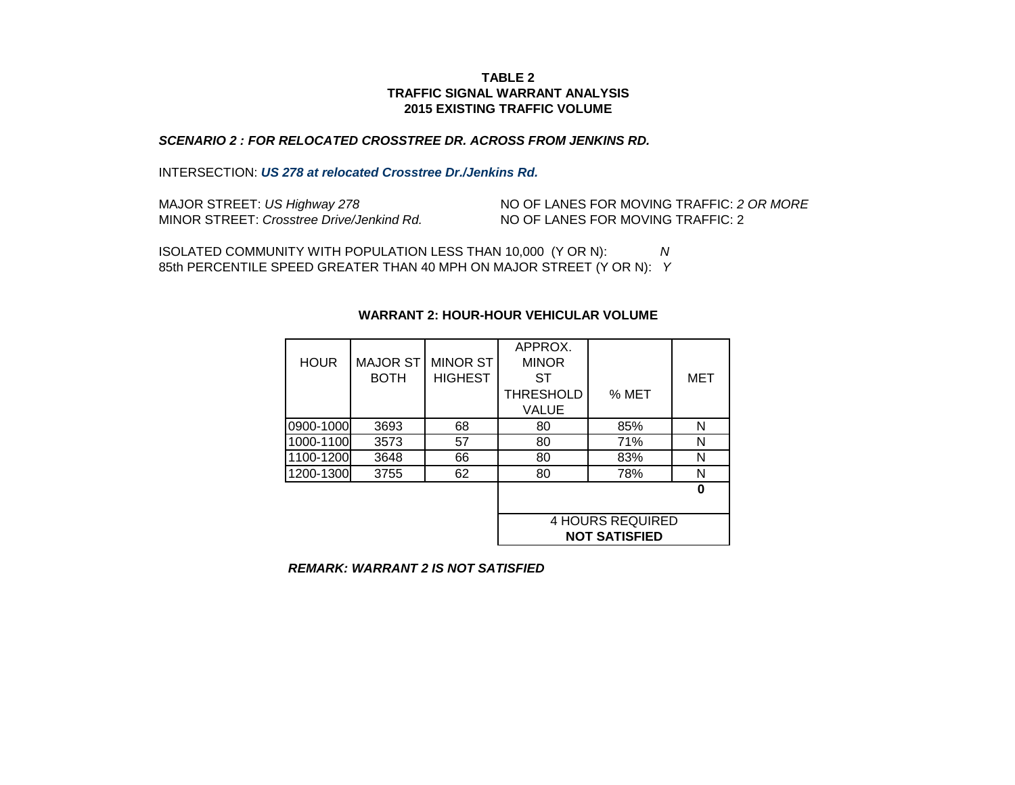# *SCENARIO 2 : FOR RELOCATED CROSSTREE DR. ACROSS FROM JENKINS RD.*

#### INTERSECTION: *US 278 at relocated Crosstree Dr./Jenkins Rd.*

| MAJOR STREET: US Highway 278              | NO OF LANES FOR MOVING TRAFFIC: 2 OR MORE |
|-------------------------------------------|-------------------------------------------|
| MINOR STREET: Crosstree Drive/Jenkind Rd. | NO OF LANES FOR MOVING TRAFFIC: 2         |

ISOLATED COMMUNITY WITH POPULATION LESS THAN 10,000 (Y OR N): *N* 85th PERCENTILE SPEED GREATER THAN 40 MPH ON MAJOR STREET (Y OR N): *Y*

| <b>HOUR</b> | <b>MAJOR ST</b><br><b>BOTH</b> | <b>MINOR ST</b><br><b>HIGHEST</b> | APPROX.<br><b>MINOR</b><br>SТ<br><b>THRESHOLD</b> | % MET                                           | MET |
|-------------|--------------------------------|-----------------------------------|---------------------------------------------------|-------------------------------------------------|-----|
|             |                                |                                   | VALUE                                             |                                                 |     |
| 0900-1000   | 3693                           | 68                                | 80                                                | 85%                                             | N   |
| 1000-1100   | 3573                           | 57                                | 80                                                | 71%                                             | N   |
| 1100-1200   | 3648                           | 66                                | 80                                                | 83%                                             | N   |
| 1200-1300   | 3755                           | 62                                | 80                                                | 78%                                             | N   |
|             |                                |                                   |                                                   |                                                 | ŋ   |
|             |                                |                                   |                                                   | <b>4 HOURS REQUIRED</b><br><b>NOT SATISFIED</b> |     |

#### **WARRANT 2: HOUR-HOUR VEHICULAR VOLUME**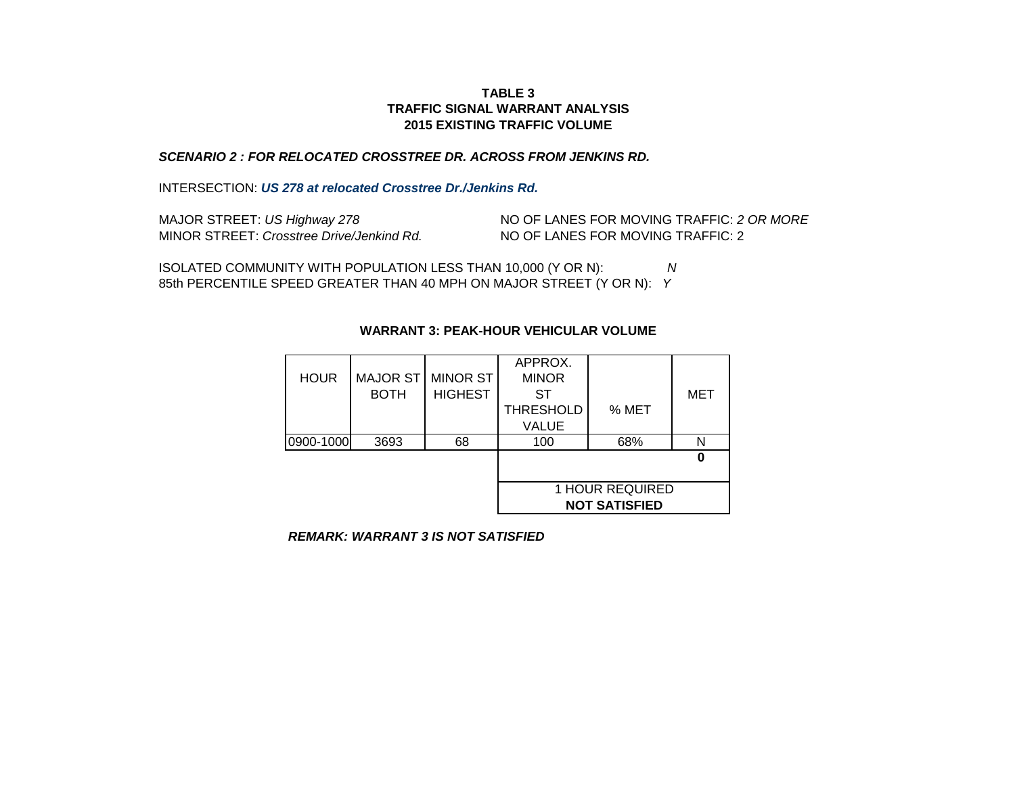## *SCENARIO 2 : FOR RELOCATED CROSSTREE DR. ACROSS FROM JENKINS RD.*

INTERSECTION: *US 278 at relocated Crosstree Dr./Jenkins Rd.*

| MAJOR STREET: US Highway 278              | NO OF LANES FOR MOVING TRAFFIC: 2 OR MORE |
|-------------------------------------------|-------------------------------------------|
| MINOR STREET: Crosstree Drive/Jenkind Rd. | NO OF LANES FOR MOVING TRAFFIC: 2         |

85th PERCENTILE SPEED GREATER THAN 40 MPH ON MAJOR STREET (Y OR N): *Y* ISOLATED COMMUNITY WITH POPULATION LESS THAN 10,000 (Y OR N): *N*

|             |                 |                 | APPROX.          |                        |     |
|-------------|-----------------|-----------------|------------------|------------------------|-----|
| <b>HOUR</b> | <b>MAJOR ST</b> | <b>MINOR ST</b> | <b>MINOR</b>     |                        |     |
|             | <b>BOTH</b>     | <b>HIGHEST</b>  | ST               |                        | MET |
|             |                 |                 | <b>THRESHOLD</b> | % MET                  |     |
|             |                 |                 | <b>VALUE</b>     |                        |     |
| 0900-1000   | 3693            | 68              | 100              | 68%                    | N   |
|             |                 |                 |                  |                        |     |
|             |                 |                 |                  |                        |     |
|             |                 |                 |                  | <b>1 HOUR REQUIRED</b> |     |
|             |                 |                 |                  | <b>NOT SATISFIED</b>   |     |

# **WARRANT 3: PEAK-HOUR VEHICULAR VOLUME**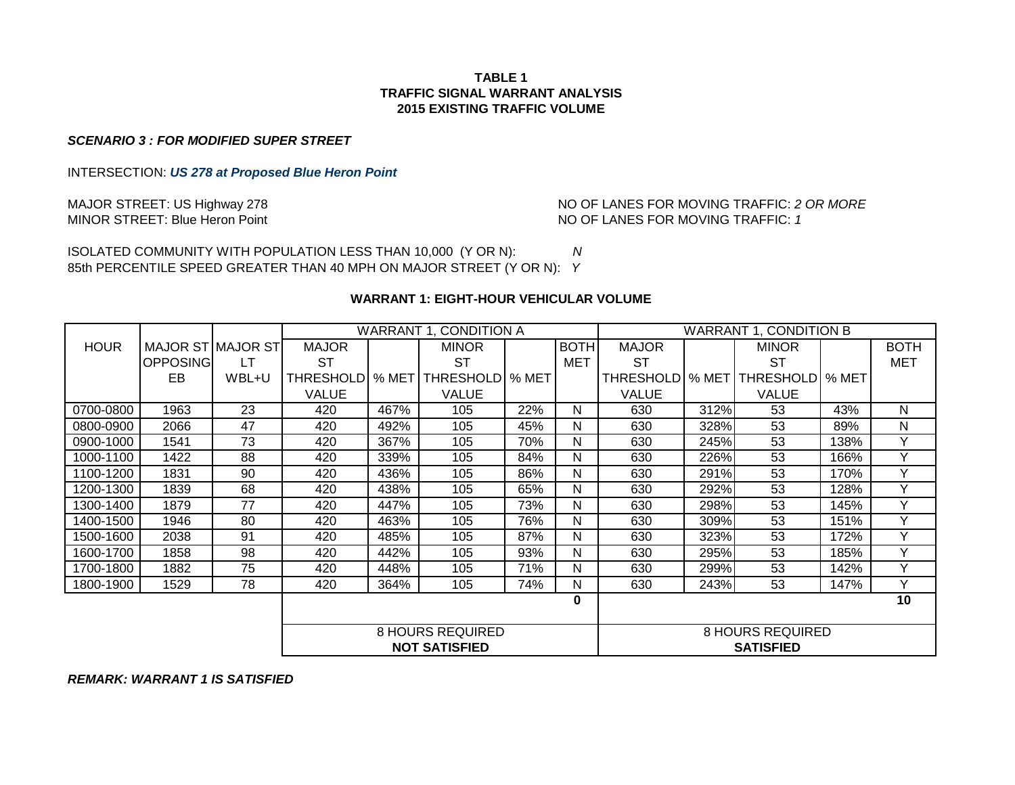*SCENARIO 3 : FOR MODIFIED SUPER STREET*

INTERSECTION: *US 278 at Proposed Blue Heron Point*

MINOR STREET: Blue Heron Point **No. 1 And 19 and 19 and 19 and 19 and 19 and 19 and 19 and 19 and 19 and 19 and 19 and 19 and 19 and 19 and 19 and 19 and 19 and 19 and 19 and 19 and 19 and 19 and 19 and 19 and 19 and 19 an** MAJOR STREET: US Highway 278 **No. 1998** NO OF LANES FOR MOVING TRAFFIC: 2 OR MORE

ISOLATED COMMUNITY WITH POPULATION LESS THAN 10,000 (Y OR N): *N* 85th PERCENTILE SPEED GREATER THAN 40 MPH ON MAJOR STREET (Y OR N): *Y*

# **WARRANT 1: EIGHT-HOUR VEHICULAR VOLUME**

|             |                   |       | <b>WARRANT 1, CONDITION A</b> |       |                         |     |             | <b>WARRANT 1, CONDITION B</b> |      |                          |      |             |
|-------------|-------------------|-------|-------------------------------|-------|-------------------------|-----|-------------|-------------------------------|------|--------------------------|------|-------------|
| <b>HOUR</b> | MAJOR ST MAJOR ST |       | <b>MAJOR</b>                  |       | <b>MINOR</b>            |     | <b>BOTH</b> | <b>MAJOR</b>                  |      | <b>MINOR</b>             |      | <b>BOTH</b> |
|             | OPPOSING          | LT    | <b>ST</b>                     |       | ST                      |     | <b>MET</b>  | <b>ST</b>                     |      | <b>ST</b>                |      | <b>MET</b>  |
|             | EB                | WBL+U | THRESHOLDI                    | % MET | THRESHOLD   % MET       |     |             | THRESHOLD   % MET             |      | <b>THRESHOLD   % MET</b> |      |             |
|             |                   |       | <b>VALUE</b>                  |       | <b>VALUE</b>            |     |             | <b>VALUE</b>                  |      | <b>VALUE</b>             |      |             |
| 0700-0800   | 1963              | 23    | 420                           | 467%  | 105                     | 22% | N           | 630                           | 312% | 53                       | 43%  | N           |
| 0800-0900   | 2066              | 47    | 420                           | 492%  | 105                     | 45% | N           | 630                           | 328% | 53                       | 89%  | N           |
| 0900-1000   | 1541              | 73    | 420                           | 367%  | 105                     | 70% | N           | 630                           | 245% | 53                       | 138% | Υ           |
| 1000-1100   | 1422              | 88    | 420                           | 339%  | 105                     | 84% | N           | 630                           | 226% | 53                       | 166% | Y           |
| 1100-1200   | 1831              | 90    | 420                           | 436%  | 105                     | 86% | N           | 630                           | 291% | 53                       | 170% | Y           |
| 1200-1300   | 1839              | 68    | 420                           | 438%  | 105                     | 65% | N           | 630                           | 292% | 53                       | 128% | Y           |
| 1300-1400   | 1879              | 77    | 420                           | 447%  | 105                     | 73% | N           | 630                           | 298% | 53                       | 145% | Υ           |
| 1400-1500   | 1946              | 80    | 420                           | 463%  | 105                     | 76% | N           | 630                           | 309% | 53                       | 151% | Y           |
| 1500-1600   | 2038              | 91    | 420                           | 485%  | 105                     | 87% | N           | 630                           | 323% | 53                       | 172% | Υ           |
| 1600-1700   | 1858              | 98    | 420                           | 442%  | 105                     | 93% | N           | 630                           | 295% | 53                       | 185% | Υ           |
| 1700-1800   | 1882              | 75    | 420                           | 448%  | 105                     | 71% | N           | 630                           | 299% | 53                       | 142% | Y           |
| 1800-1900   | 1529              | 78    | 420                           | 364%  | 105                     | 74% | N           | 630                           | 243% | 53                       | 147% | Y           |
|             |                   |       |                               |       |                         |     | 0           |                               |      |                          |      | 10          |
|             |                   |       |                               |       |                         |     |             |                               |      |                          |      |             |
|             |                   |       |                               |       | <b>8 HOURS REQUIRED</b> |     |             | <b>8 HOURS REQUIRED</b>       |      |                          |      |             |
|             |                   |       |                               |       | <b>NOT SATISFIED</b>    |     |             |                               |      | <b>SATISFIED</b>         |      |             |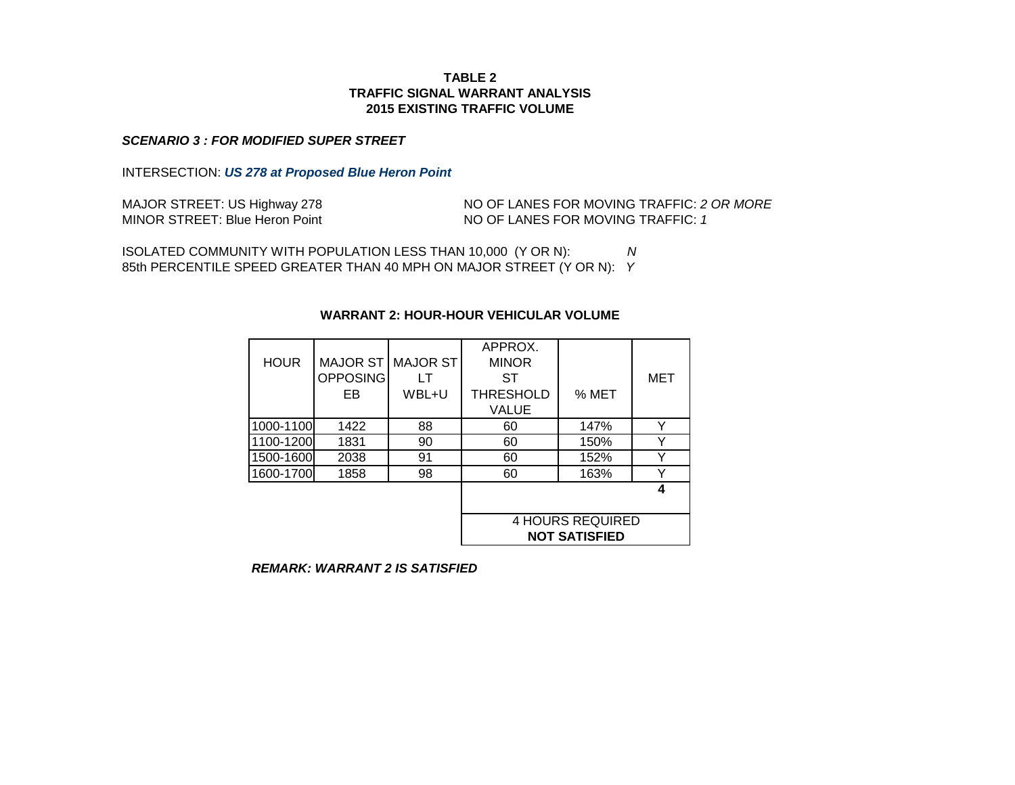#### *SCENARIO 3 : FOR MODIFIED SUPER STREET*

INTERSECTION: *US 278 at Proposed Blue Heron Point*

MINOR STREET: Blue Heron Point MAJOR STREET: US Highway 278

NO OF LANES FOR MOVING TRAFFIC: *2 OR MORE* NO OF LANES FOR MOVING TRAFFIC: *1*

ISOLATED COMMUNITY WITH POPULATION LESS THAN 10,000 (Y OR N): *N* 85th PERCENTILE SPEED GREATER THAN 40 MPH ON MAJOR STREET (Y OR N): *Y*

# APPROX. HOUR MAJOR ST MAJOR ST MINOR OPPOSING LT ST I MET EB WBL+U THRESHOLD SMET VALUE 1000-1100 1422 88 60 147% Y 1100-1200 1831 90 60 150% Y 1500-1600 2038 91 60 152% Y 1600-1700 1858 98 60 163% Y **4 NOT SATISFIED** 4 HOURS REQUIRED

#### **WARRANT 2: HOUR-HOUR VEHICULAR VOLUME**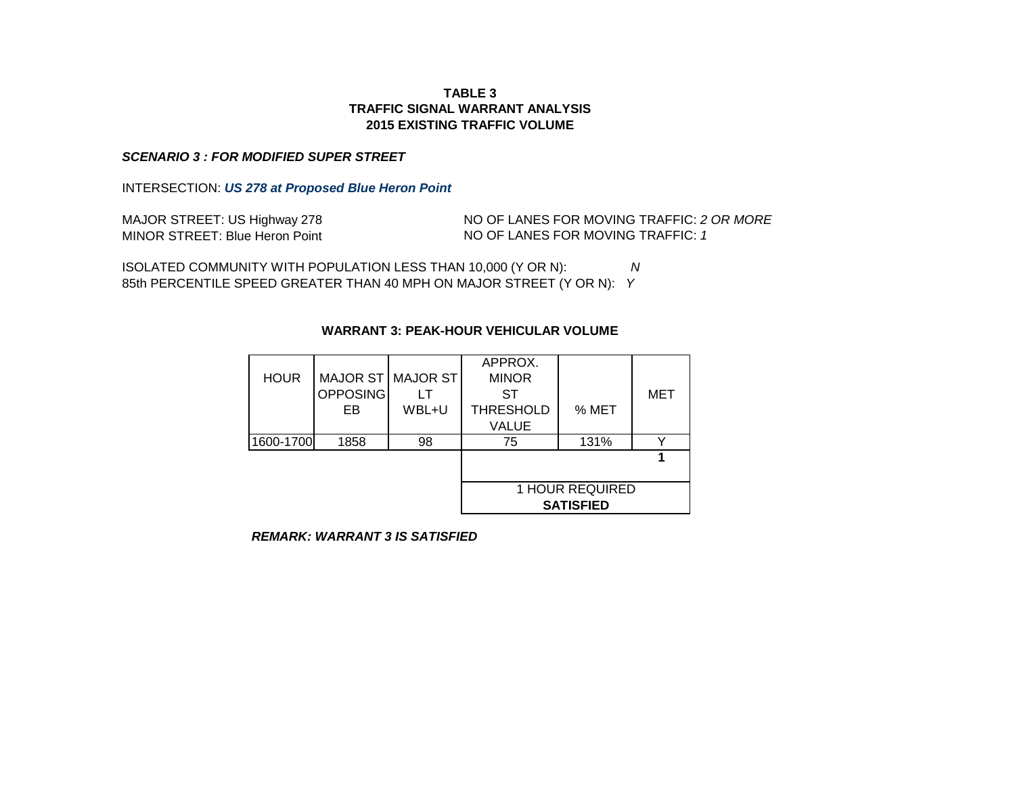#### *SCENARIO 3 : FOR MODIFIED SUPER STREET*

INTERSECTION: *US 278 at Proposed Blue Heron Point*

| MAJOR STREET: US Highway 278          |
|---------------------------------------|
| <b>MINOR STREET: Blue Heron Point</b> |

NO OF LANES FOR MOVING TRAFFIC: *2 OR MORE* NO OF LANES FOR MOVING TRAFFIC: *1* 

ISOLATED COMMUNITY WITH POPULATION LESS THAN 10,000 (Y OR N): *N* 85th PERCENTILE SPEED GREATER THAN 40 MPH ON MAJOR STREET (Y OR N): *Y*

|             |          |                   | APPROX.          |                        |     |
|-------------|----------|-------------------|------------------|------------------------|-----|
| <b>HOUR</b> |          | MAJOR ST MAJOR ST | <b>MINOR</b>     |                        |     |
|             | OPPOSING |                   | ST               |                        | MET |
|             | EB       | WBL+U             | <b>THRESHOLD</b> | % MET                  |     |
|             |          | <b>VALUE</b>      |                  |                        |     |
| 1600-1700   | 1858     | 98                | 75               | 131%                   |     |
|             |          |                   |                  |                        |     |
|             |          |                   |                  |                        |     |
|             |          |                   |                  | <b>1 HOUR REQUIRED</b> |     |
|             |          |                   |                  | <b>SATISFIED</b>       |     |

## **WARRANT 3: PEAK-HOUR VEHICULAR VOLUME**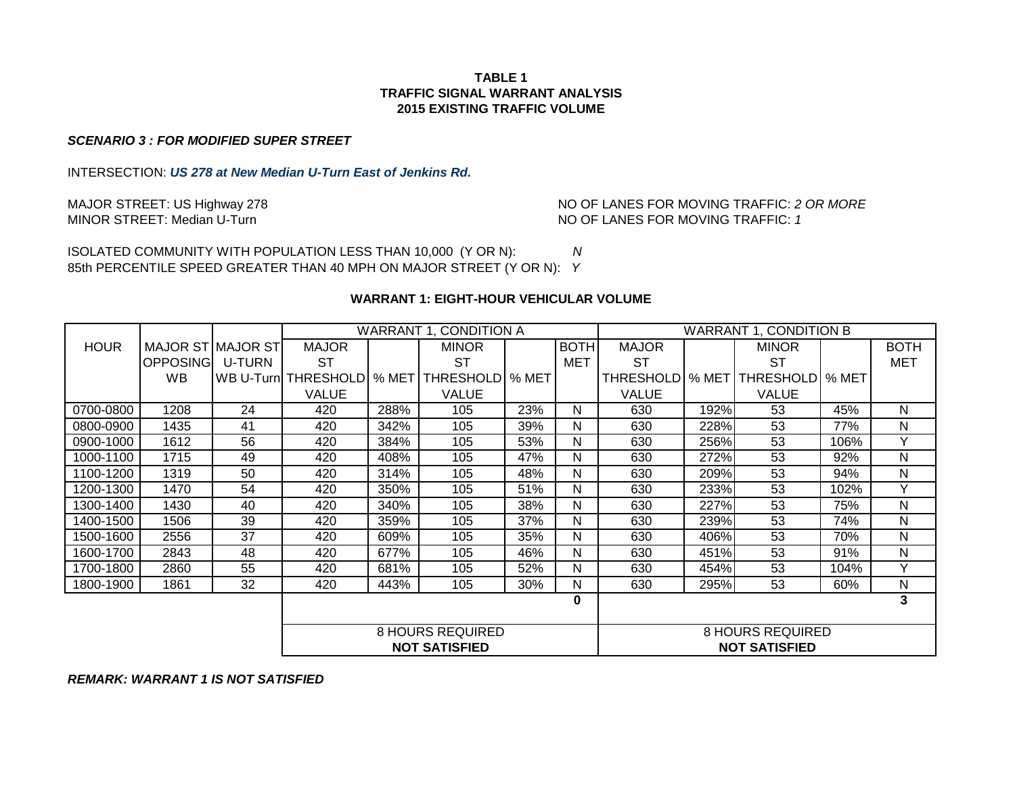#### *SCENARIO 3 : FOR MODIFIED SUPER STREET*

INTERSECTION: *US 278 at New Median U-Turn East of Jenkins Rd.*

MAJOR STREET: US Highway 278 **No. 1998 NO OF LANES FOR MOVING TRAFFIC:** 2 OR MORE MINOR STREET: Median U-Turn and More of the Mondon Mondon Mo OF LANES FOR MOVING TRAFFIC: 1 NO OF LANES FOR MOVING TRAFFIC: 1

ISOLATED COMMUNITY WITH POPULATION LESS THAN 10,000 (Y OR N): *N* 85th PERCENTILE SPEED GREATER THAN 40 MPH ON MAJOR STREET (Y OR N): *Y*

#### **WARRANT 1: EIGHT-HOUR VEHICULAR VOLUME**

|             |                          |               |                     |         | WARRANT 1, CONDITION A  |     |             | <b>WARRANT 1, CONDITION B</b> |      |                          |      |              |
|-------------|--------------------------|---------------|---------------------|---------|-------------------------|-----|-------------|-------------------------------|------|--------------------------|------|--------------|
| <b>HOUR</b> | <b>MAJOR ST MAJOR ST</b> |               | <b>MAJOR</b>        |         | <b>MINOR</b>            |     | <b>BOTH</b> | <b>MAJOR</b>                  |      | <b>MINOR</b>             |      | <b>BOTH</b>  |
|             | OPPOSINGI                | <b>U-TURN</b> | <b>ST</b>           |         | ST                      |     | <b>MET</b>  | <b>ST</b>                     |      | <b>ST</b>                |      | <b>MET</b>   |
|             | <b>WB</b>                |               | WB U-Turn THRESHOLD | $%$ MET | THRESHOLD   % MET       |     |             | THRESHOLD   % MET             |      | <b>THRESHOLD   % MET</b> |      |              |
|             |                          |               | <b>VALUE</b>        |         | <b>VALUE</b>            |     |             | <b>VALUE</b>                  |      | <b>VALUE</b>             |      |              |
| 0700-0800   | 1208                     | 24            | 420                 | 288%    | 105                     | 23% | N           | 630                           | 192% | 53                       | 45%  | N            |
| 0800-0900   | 1435                     | 41            | 420                 | 342%    | 105                     | 39% | N           | 630                           | 228% | 53                       | 77%  | $\mathsf{N}$ |
| 0900-1000   | 1612                     | 56            | 420                 | 384%    | 105                     | 53% | N           | 630                           | 256% | 53                       | 106% | Y            |
| 1000-1100   | 1715                     | 49            | 420                 | 408%    | 105                     | 47% | N           | 630                           | 272% | 53                       | 92%  | N            |
| 1100-1200   | 1319                     | 50            | 420                 | 314%    | 105                     | 48% | N           | 630                           | 209% | 53                       | 94%  | N            |
| 1200-1300   | 1470                     | 54            | 420                 | 350%    | 105                     | 51% | N           | 630                           | 233% | 53                       | 102% | Y            |
| 1300-1400   | 1430                     | 40            | 420                 | 340%    | 105                     | 38% | N           | 630                           | 227% | 53                       | 75%  | N            |
| 1400-1500   | 1506                     | 39            | 420                 | 359%    | 105                     | 37% | N           | 630                           | 239% | 53                       | 74%  | $\mathsf{N}$ |
| 1500-1600   | 2556                     | 37            | 420                 | 609%    | 105                     | 35% | N           | 630                           | 406% | 53                       | 70%  | N            |
| 1600-1700   | 2843                     | 48            | 420                 | 677%    | 105                     | 46% | N           | 630                           | 451% | 53                       | 91%  | N            |
| 1700-1800   | 2860                     | 55            | 420                 | 681%    | 105                     | 52% | N           | 630                           | 454% | 53                       | 104% | Y            |
| 1800-1900   | 1861                     | 32            | 420                 | 443%    | 105                     | 30% | N           | 630                           | 295% | 53                       | 60%  | ${\sf N}$    |
|             |                          |               |                     |         |                         |     | 0           |                               |      |                          |      | 3            |
|             |                          |               |                     |         |                         |     |             |                               |      |                          |      |              |
|             |                          |               |                     |         | <b>8 HOURS REQUIRED</b> |     |             |                               |      | <b>8 HOURS REQUIRED</b>  |      |              |
|             |                          |               |                     |         | <b>NOT SATISFIED</b>    |     |             |                               |      | <b>NOT SATISFIED</b>     |      |              |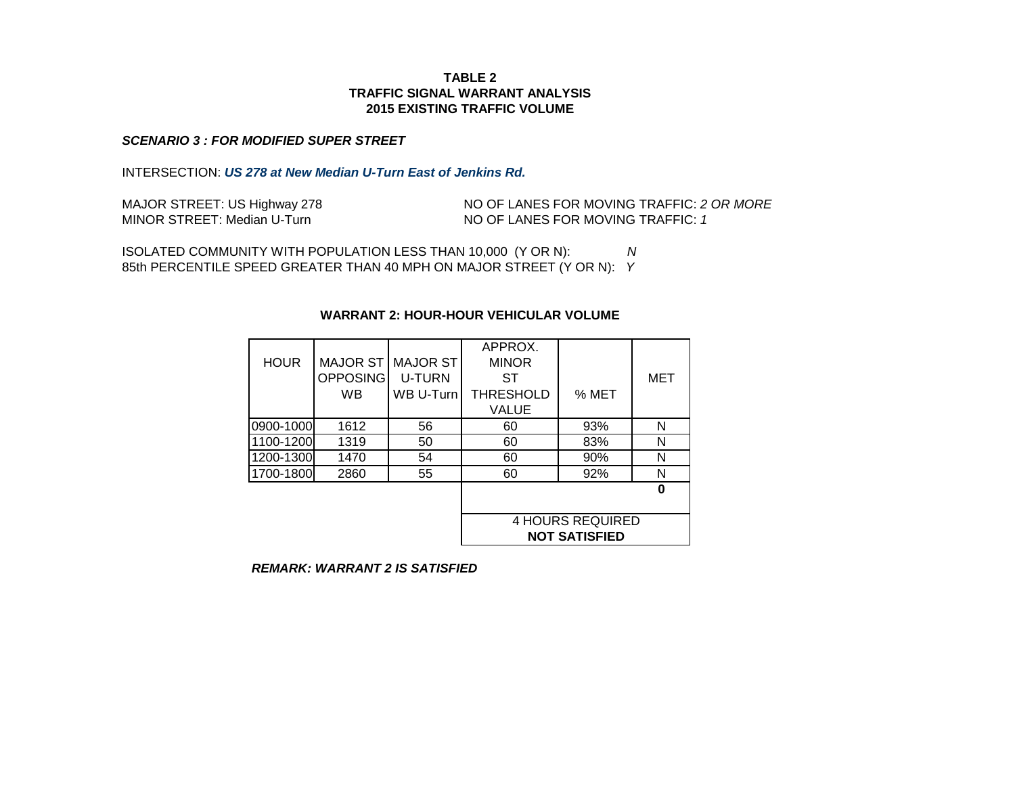#### *SCENARIO 3 : FOR MODIFIED SUPER STREET*

INTERSECTION: *US 278 at New Median U-Turn East of Jenkins Rd.*

| MAJOR STREET: US Highway 278 | NO OF LANES FOR MOVING TRAFFIC: 2 OR MORE |
|------------------------------|-------------------------------------------|
| MINOR STREET: Median U-Turn  | NO OF LANES FOR MOVING TRAFFIC: 1         |

ISOLATED COMMUNITY WITH POPULATION LESS THAN 10,000 (Y OR N): *N* 85th PERCENTILE SPEED GREATER THAN 40 MPH ON MAJOR STREET (Y OR N): *Y*

## **WARRANT 2: HOUR-HOUR VEHICULAR VOLUME**

|             |                 |               | APPROX.                 |       |     |  |
|-------------|-----------------|---------------|-------------------------|-------|-----|--|
| <b>HOUR</b> | <b>MAJOR ST</b> | MAJOR ST      | <b>MINOR</b>            |       |     |  |
|             | <b>OPPOSING</b> | <b>U-TURN</b> | ST                      |       | MET |  |
|             | <b>WB</b>       | WB U-Turn     | <b>THRESHOLD</b>        | % MET |     |  |
|             |                 |               | <b>VALUE</b>            |       |     |  |
| 0900-1000   | 1612            | 56            | 60                      | 93%   | N   |  |
| 1100-1200   | 1319            | 50            | 60                      | 83%   | N   |  |
| 1200-1300   | 1470            | 54            | 60                      | 90%   | N   |  |
| 1700-1800   | 2860            | 55            | 60                      | 92%   | N   |  |
|             |                 |               |                         |       | ŋ   |  |
|             |                 |               |                         |       |     |  |
|             |                 |               | <b>4 HOURS REQUIRED</b> |       |     |  |
|             |                 |               | <b>NOT SATISFIED</b>    |       |     |  |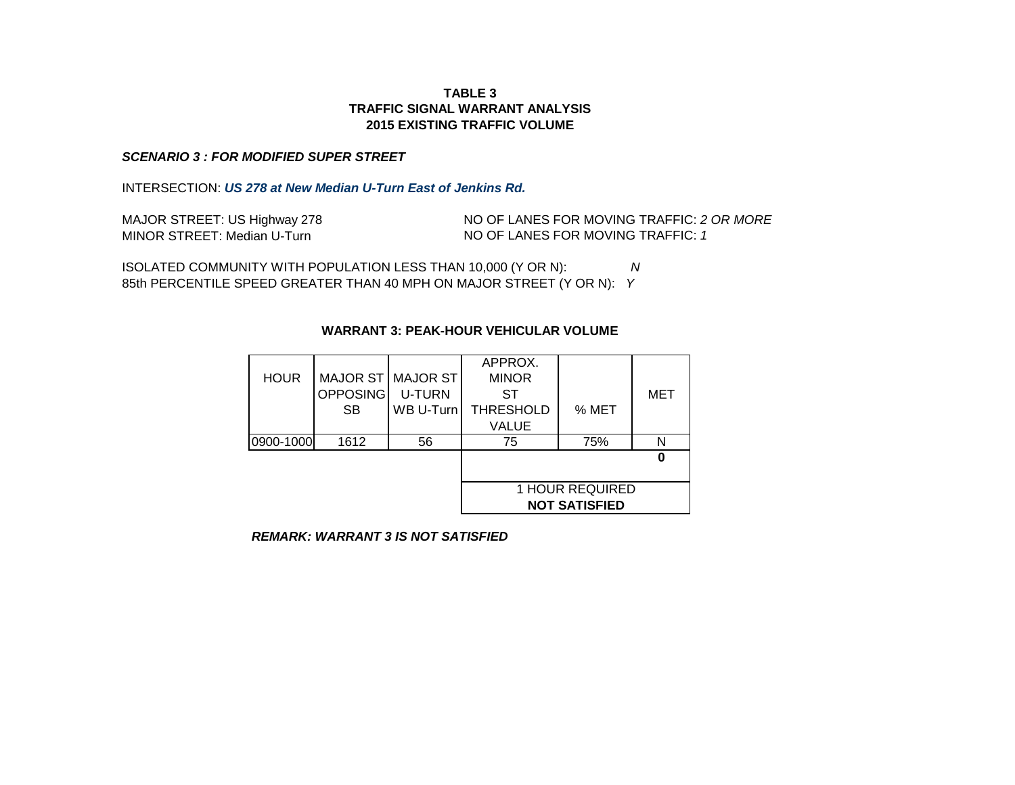## **TRAFFIC SIGNAL WARRANT ANALYSIS TABLE 3 2015 EXISTING TRAFFIC VOLUME**

#### *SCENARIO 3 : FOR MODIFIED SUPER STREET*

INTERSECTION: *US 278 at New Median U-Turn East of Jenkins Rd.*

| MAJOR STREET: US Highway 278 | NO OF |
|------------------------------|-------|
| MINOR STREET: Median U-Turn  | NO OF |

LANES FOR MOVING TRAFFIC: 2 OR MORE LANES FOR MOVING TRAFFIC: 1

ISOLATED COMMUNITY WITH POPULATION LESS THAN 10,000 (Y OR N): *N* 85th PERCENTILE SPEED GREATER THAN 40 MPH ON MAJOR STREET (Y OR N): *Y*

|             |                        |                   | APPROX.              |       |     |  |  |
|-------------|------------------------|-------------------|----------------------|-------|-----|--|--|
| <b>HOUR</b> |                        | MAJOR ST MAJOR ST | <b>MINOR</b>         |       |     |  |  |
|             | <b>OPPOSING</b>        | U-TURN            | ST                   |       | MET |  |  |
|             | <b>SB</b>              | WB U-Turn         | <b>THRESHOLD</b>     | % MET |     |  |  |
|             |                        |                   | VALUE                |       |     |  |  |
| 0900-1000   | 1612                   | 56                | 75                   | 75%   | N   |  |  |
|             |                        |                   |                      |       |     |  |  |
|             |                        |                   |                      |       |     |  |  |
|             | <b>1 HOUR REQUIRED</b> |                   |                      |       |     |  |  |
|             |                        |                   | <b>NOT SATISFIED</b> |       |     |  |  |

## **WARRANT 3: PEAK-HOUR VEHICULAR VOLUME**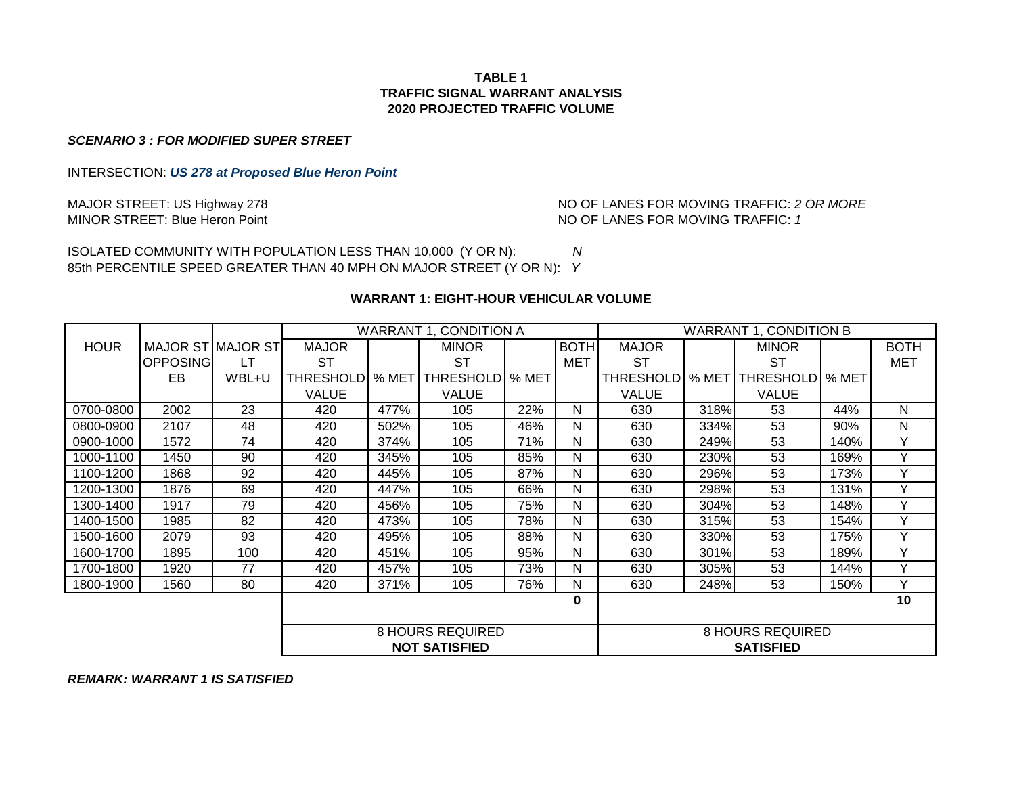## **TABLE 1 TRAFFIC SIGNAL WARRANT ANALYSIS 2020 PROJECTED TRAFFIC VOLUME**

*SCENARIO 3 : FOR MODIFIED SUPER STREET*

INTERSECTION: *US 278 at Proposed Blue Heron Point*

MAJOR STREET: US Highway 278 **NO OF LANES FOR MOVING TRAFFIC: 2 OR MORE**<br>MINOR STREET: Blue Heron Point **NO OF LANES FOR MOVING TRAFFIC:** 1 NO OF LANES FOR MOVING TRAFFIC: 1

ISOLATED COMMUNITY WITH POPULATION LESS THAN 10,000 (Y OR N): *N* 85th PERCENTILE SPEED GREATER THAN 40 MPH ON MAJOR STREET (Y OR N): *Y*

# **WARRANT 1: EIGHT-HOUR VEHICULAR VOLUME**

|             |                          |       | WARRANT 1. CONDITION A |       |                      |       | <b>WARRANT 1, CONDITION B</b> |              |       |                  |       |             |
|-------------|--------------------------|-------|------------------------|-------|----------------------|-------|-------------------------------|--------------|-------|------------------|-------|-------------|
| <b>HOUR</b> | <b>MAJOR ST MAJOR ST</b> |       | <b>MAJOR</b>           |       | <b>MINOR</b>         |       | <b>BOTH</b>                   | <b>MAJOR</b> |       | <b>MINOR</b>     |       | <b>BOTH</b> |
|             | OPPOSING                 | LT    | ST                     |       | SТ                   |       | MET                           | ST           |       | ST               |       | MET         |
|             | EB                       | WBL+U | THRESHOLDI             | % MET | <b>THRESHOLD</b>     | % MET |                               | THRESHOLDI   | % MET | <b>THRESHOLD</b> | % MET |             |
|             |                          |       | <b>VALUE</b>           |       | <b>VALUE</b>         |       |                               | VALUE        |       | <b>VALUE</b>     |       |             |
| 0700-0800   | 2002                     | 23    | 420                    | 477%  | 105                  | 22%   | N                             | 630          | 318%  | 53               | 44%   | N           |
| 0800-0900   | 2107                     | 48    | 420                    | 502%  | 105                  | 46%   | N                             | 630          | 334%  | 53               | 90%   | N           |
| 0900-1000   | 1572                     | 74    | 420                    | 374%  | 105                  | 71%   | N                             | 630          | 249%  | 53               | 140%  | Y           |
| 1000-1100   | 1450                     | 90    | 420                    | 345%  | 105                  | 85%   | N                             | 630          | 230%  | 53               | 169%  | Y           |
| 1100-1200   | 1868                     | 92    | 420                    | 445%  | 105                  | 87%   | N                             | 630          | 296%  | 53               | 173%  | Y           |
| 1200-1300   | 1876                     | 69    | 420                    | 447%  | 105                  | 66%   | N                             | 630          | 298%  | 53               | 131%  | Y           |
| 1300-1400   | 1917                     | 79    | 420                    | 456%  | 105                  | 75%   | N                             | 630          | 304%  | 53               | 148%  | Υ           |
| 1400-1500   | 1985                     | 82    | 420                    | 473%  | 105                  | 78%   | N                             | 630          | 315%  | 53               | 154%  | Y           |
| 1500-1600   | 2079                     | 93    | 420                    | 495%  | 105                  | 88%   | N                             | 630          | 330%  | 53               | 175%  | Y           |
| 1600-1700   | 1895                     | 100   | 420                    | 451%  | 105                  | 95%   | N                             | 630          | 301%  | 53               | 189%  | Υ           |
| 1700-1800   | 1920                     | 77    | 420                    | 457%  | 105                  | 73%   | N                             | 630          | 305%  | 53               | 144%  | Y           |
| 1800-1900   | 1560                     | 80    | 420                    | 371%  | 105                  | 76%   | N                             | 630          | 248%  | 53               | 150%  | Y           |
|             |                          |       |                        |       |                      |       | 0                             |              |       |                  |       | 10          |
|             |                          |       |                        |       |                      |       |                               |              |       |                  |       |             |
|             | <b>8 HOURS REQUIRED</b>  |       |                        |       | 8 HOURS REQUIRED     |       |                               |              |       |                  |       |             |
|             |                          |       |                        |       | <b>NOT SATISFIED</b> |       |                               |              |       | <b>SATISFIED</b> |       |             |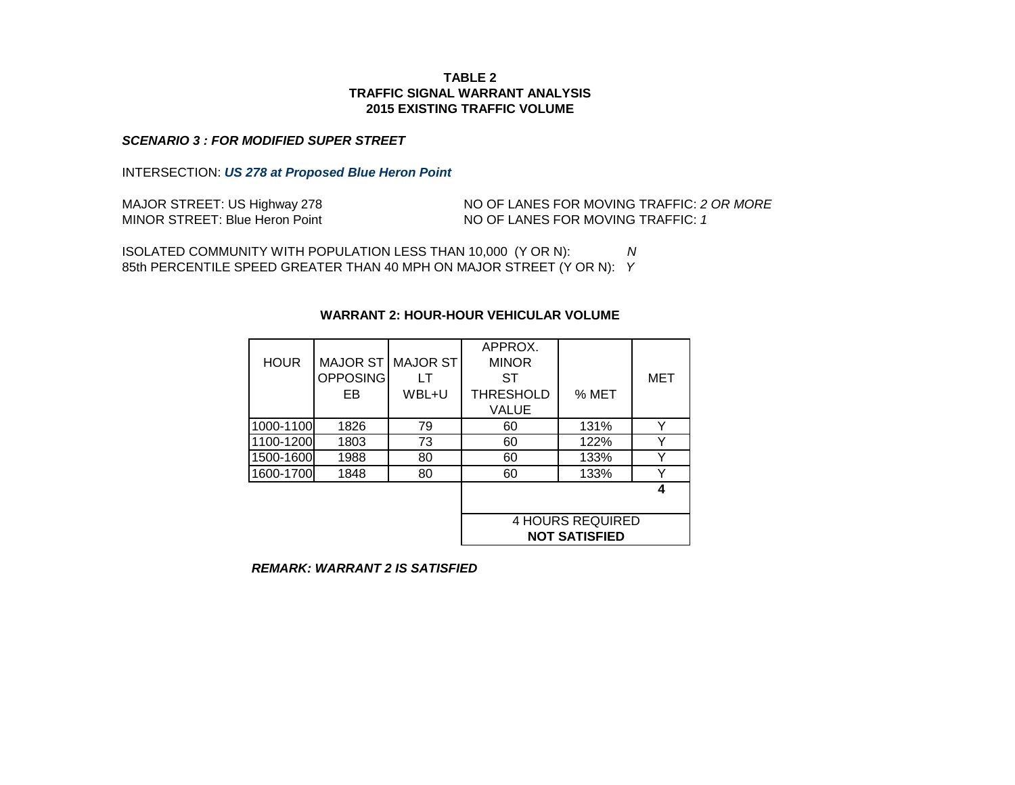#### *SCENARIO 3 : FOR MODIFIED SUPER STREET*

INTERSECTION: *US 278 at Proposed Blue Heron Point*

MAJOR STREET: US Highway 278 MINOR STREET: Blue Heron Point NO OF LANES FOR MOVING TRAFFIC: *2 OR MORE* NO OF LANES FOR MOVING TRAFFIC: *1*

ISOLATED COMMUNITY WITH POPULATION LESS THAN 10,000 (Y OR N): *N* 85th PERCENTILE SPEED GREATER THAN 40 MPH ON MAJOR STREET (Y OR N): *Y*

# APPROX. HOUR MAJOR ST MAJOR ST MINOR OPPOSING LT ST I MET EB WBL+U THRESHOLD SMET VALUE 1000-1100 1826 79 60 131% Y 1100-1200 1803 73 60 122% Y 1500-1600 1988 80 60 133% Y 1600-1700 1848 80 60 133% Y **4** 4 HOURS REQUIRED **NOT SATISFIED**

#### **WARRANT 2: HOUR-HOUR VEHICULAR VOLUME**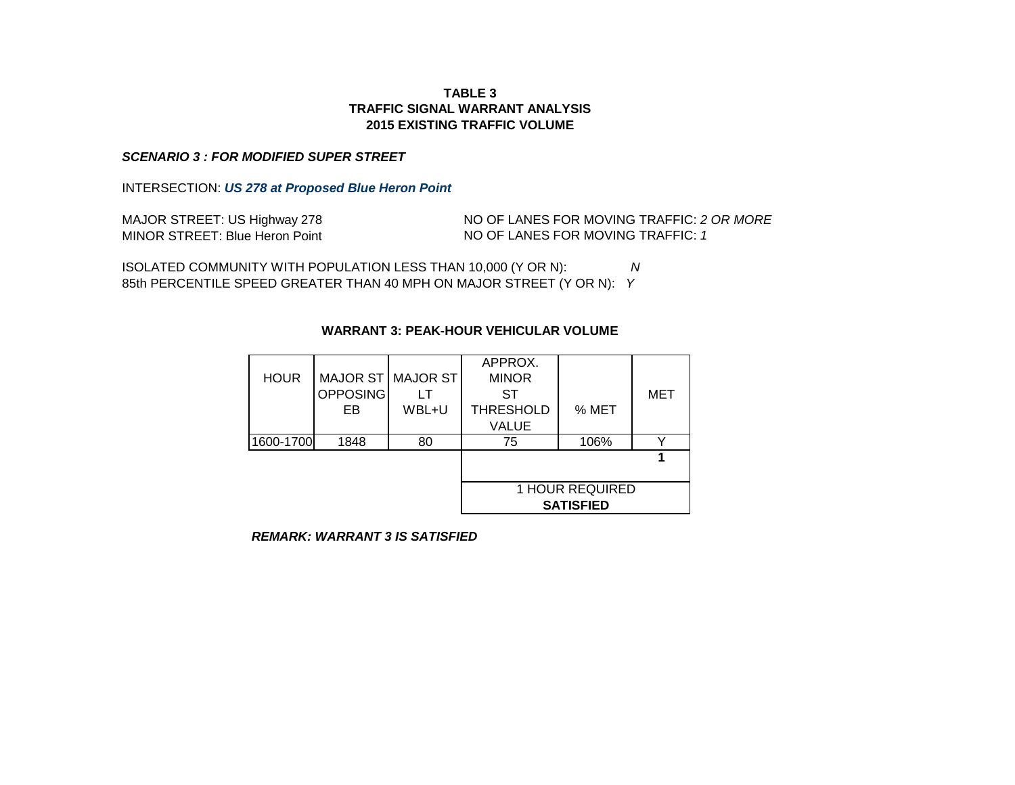## **TRAFFIC SIGNAL WARRANT ANALYSIS TABLE 3 2015 EXISTING TRAFFIC VOLUME**

#### *SCENARIO 3 : FOR MODIFIED SUPER STREET*

INTERSECTION: *US 278 at Proposed Blue Heron Point*

| MAJOR STREET: US Highway 278          |
|---------------------------------------|
| <b>MINOR STREET: Blue Heron Point</b> |

NO OF LANES FOR MOVING TRAFFIC: *2 OR MORE* NO OF LANES FOR MOVING TRAFFIC: *1* 

ISOLATED COMMUNITY WITH POPULATION LESS THAN 10,000 (Y OR N): *N* 85th PERCENTILE SPEED GREATER THAN 40 MPH ON MAJOR STREET (Y OR N): *Y*

|             |          |                   | APPROX.          |                        |     |  |  |
|-------------|----------|-------------------|------------------|------------------------|-----|--|--|
| <b>HOUR</b> |          | MAJOR ST MAJOR ST | <b>MINOR</b>     |                        |     |  |  |
|             | OPPOSING |                   | ST               |                        | MET |  |  |
|             | EB       | WBL+U             | THRESHOLD        | % MET                  |     |  |  |
|             |          |                   | <b>VALUE</b>     |                        |     |  |  |
| 1600-1700   | 1848     | 80                | 75               | 106%                   |     |  |  |
|             |          |                   |                  |                        |     |  |  |
|             |          |                   |                  |                        |     |  |  |
|             |          |                   |                  | <b>1 HOUR REQUIRED</b> |     |  |  |
|             |          |                   | <b>SATISFIED</b> |                        |     |  |  |

## **WARRANT 3: PEAK-HOUR VEHICULAR VOLUME**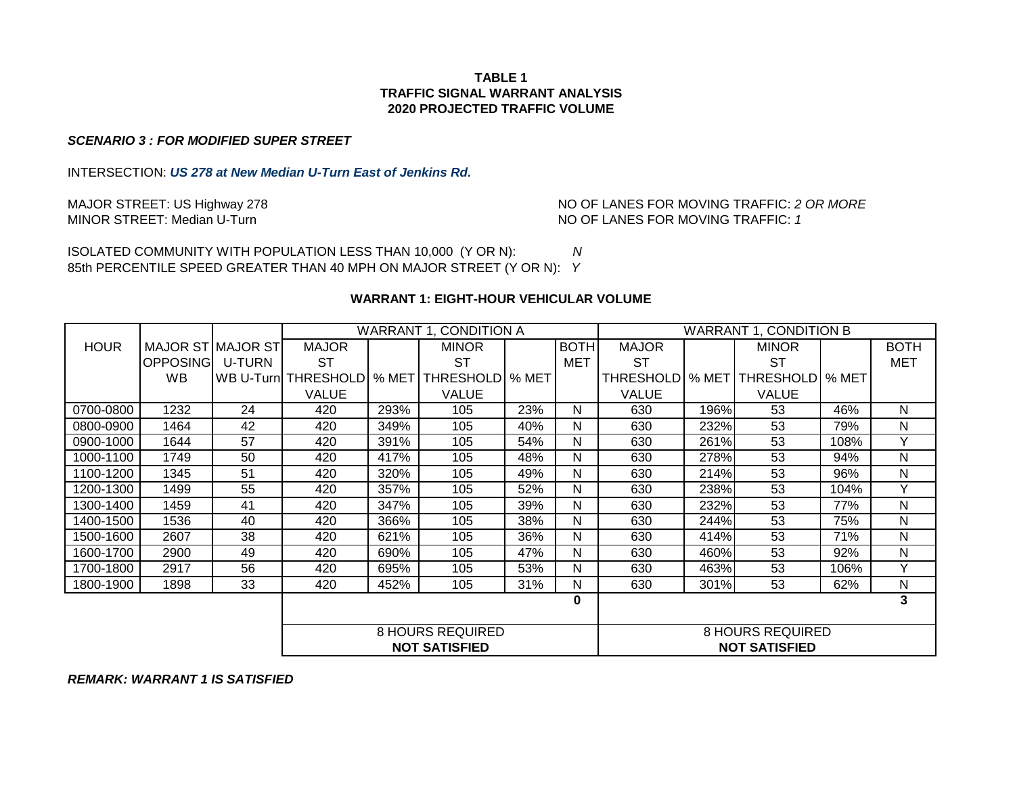## **TABLE 1 TRAFFIC SIGNAL WARRANT ANALYSIS 2020 PROJECTED TRAFFIC VOLUME**

#### *SCENARIO 3 : FOR MODIFIED SUPER STREET*

INTERSECTION: *US 278 at New Median U-Turn East of Jenkins Rd.*

MAJOR STREET: US Highway 278 **No. 1998 NO OF LANES FOR MOVING TRAFFIC:** 2 OR MORE MINOR STREET: Median U-Turn and More of the Mondon Mondon Mo OF LANES FOR MOVING TRAFFIC: 1 NO OF LANES FOR MOVING TRAFFIC: 1

ISOLATED COMMUNITY WITH POPULATION LESS THAN 10,000 (Y OR N): *N* 85th PERCENTILE SPEED GREATER THAN 40 MPH ON MAJOR STREET (Y OR N): *Y*

#### **WARRANT 1: EIGHT-HOUR VEHICULAR VOLUME**

|                         |                          |        | WARRANT 1, CONDITION A |                         |                      |     | <b>WARRANT 1, CONDITION B</b> |                   |      |                      |      |             |
|-------------------------|--------------------------|--------|------------------------|-------------------------|----------------------|-----|-------------------------------|-------------------|------|----------------------|------|-------------|
| <b>HOUR</b>             | <b>MAJOR ST MAJOR ST</b> |        | <b>MAJOR</b>           |                         | <b>MINOR</b>         |     | <b>BOTH</b>                   | <b>MAJOR</b>      |      | <b>MINOR</b>         |      | <b>BOTH</b> |
|                         | <b>OPPOSING</b>          | U-TURN | <b>ST</b>              |                         | ST                   |     | <b>MET</b>                    | <b>ST</b>         |      | <b>ST</b>            |      | <b>MET</b>  |
|                         | <b>WB</b>                |        | WB U-Turn THRESHOLD    | % MET                   | THRESHOLD   % MET    |     |                               | THRESHOLD   % MET |      | THRESHOLD   % MET    |      |             |
|                         |                          |        | <b>VALUE</b>           |                         | <b>VALUE</b>         |     |                               | <b>VALUE</b>      |      | <b>VALUE</b>         |      |             |
| 0700-0800               | 1232                     | 24     | 420                    | 293%                    | 105                  | 23% | N                             | 630               | 196% | 53                   | 46%  | N           |
| 0800-0900               | 1464                     | 42     | 420                    | 349%                    | 105                  | 40% | N                             | 630               | 232% | 53                   | 79%  | N           |
| 0900-1000               | 1644                     | 57     | 420                    | 391%                    | 105                  | 54% | N                             | 630               | 261% | 53                   | 108% | v           |
| 1000-1100               | 1749                     | 50     | 420                    | 417%                    | 105                  | 48% | N                             | 630               | 278% | 53                   | 94%  | N           |
| 1100-1200               | 1345                     | 51     | 420                    | 320%                    | 105                  | 49% | N                             | 630               | 214% | 53                   | 96%  | N           |
| 1200-1300               | 1499                     | 55     | 420                    | 357%                    | 105                  | 52% | N                             | 630               | 238% | 53                   | 104% | Y           |
| 1300-1400               | 1459                     | 41     | 420                    | 347%                    | 105                  | 39% | N                             | 630               | 232% | 53                   | 77%  | N           |
| 1400-1500               | 1536                     | 40     | 420                    | 366%                    | 105                  | 38% | N                             | 630               | 244% | 53                   | 75%  | N           |
| 1500-1600               | 2607                     | 38     | 420                    | 621%                    | 105                  | 36% | N                             | 630               | 414% | 53                   | 71%  | N           |
| 1600-1700               | 2900                     | 49     | 420                    | 690%                    | 105                  | 47% | N                             | 630               | 460% | 53                   | 92%  | N           |
| 1700-1800               | 2917                     | 56     | 420                    | 695%                    | 105                  | 53% | N                             | 630               | 463% | 53                   | 106% | Y           |
| 1800-1900               | 1898                     | 33     | 420                    | 452%                    | 105                  | 31% | N                             | 630               | 301% | 53                   | 62%  | N           |
|                         |                          |        |                        |                         |                      |     | 0                             |                   |      |                      |      | 3           |
|                         |                          |        |                        |                         |                      |     |                               |                   |      |                      |      |             |
| <b>8 HOURS REQUIRED</b> |                          |        |                        | <b>8 HOURS REQUIRED</b> |                      |     |                               |                   |      |                      |      |             |
|                         |                          |        |                        |                         | <b>NOT SATISFIED</b> |     |                               |                   |      | <b>NOT SATISFIED</b> |      |             |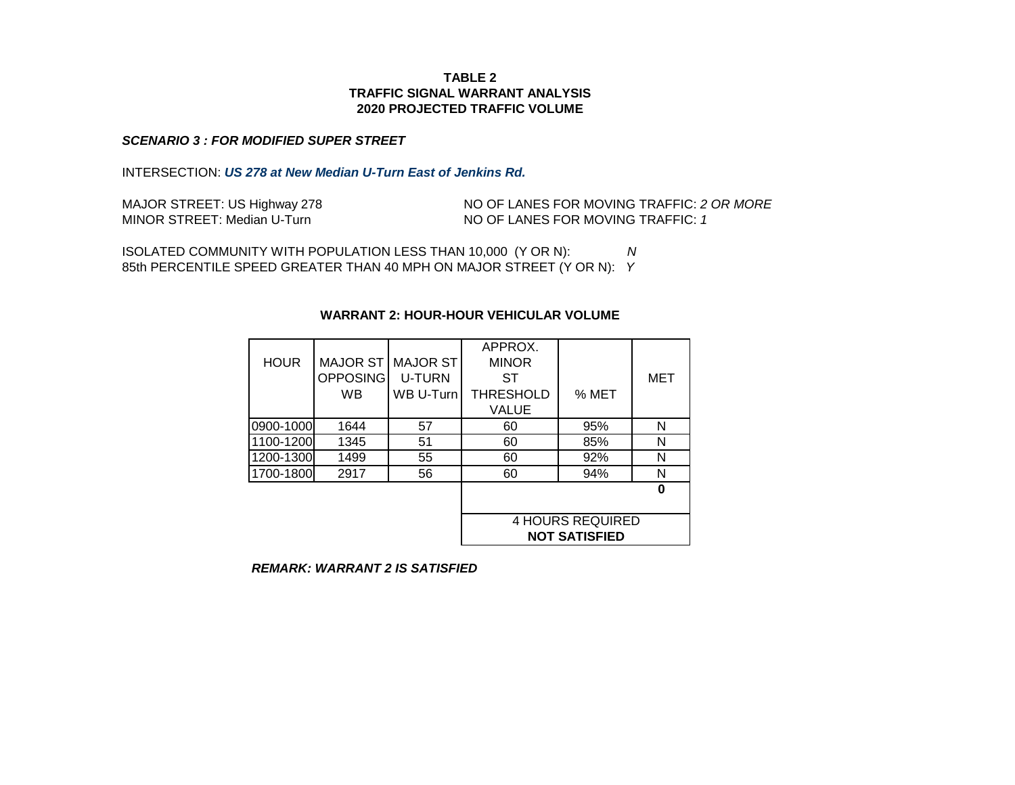#### **TABLE 2 TRAFFIC SIGNAL WARRANT ANALYSIS 2020 PROJECTED TRAFFIC VOLUME**

#### *SCENARIO 3 : FOR MODIFIED SUPER STREET*

INTERSECTION: *US 278 at New Median U-Turn East of Jenkins Rd.*

| MAJOR STREET: US Highway 278 | NO OF LANES FOR MOVING TRAFFIC: 2 OR MORE |
|------------------------------|-------------------------------------------|
| MINOR STREET: Median U-Turn  | NO OF LANES FOR MOVING TRAFFIC: 1         |

ISOLATED COMMUNITY WITH POPULATION LESS THAN 10,000 (Y OR N): *N* 85th PERCENTILE SPEED GREATER THAN 40 MPH ON MAJOR STREET (Y OR N): *Y*

# **WARRANT 2: HOUR-HOUR VEHICULAR VOLUME**

|             |                 |               | APPROX.                 |       |     |  |
|-------------|-----------------|---------------|-------------------------|-------|-----|--|
| <b>HOUR</b> | <b>MAJOR ST</b> | MAJOR ST      | <b>MINOR</b>            |       |     |  |
|             | <b>OPPOSING</b> | <b>U-TURN</b> | ST                      |       | MET |  |
|             | <b>WB</b>       | WB U-Turn     | <b>THRESHOLD</b>        | % MET |     |  |
|             |                 |               | <b>VALUE</b>            |       |     |  |
| 0900-1000   | 1644            | 57            | 60                      | 95%   | N   |  |
| 1100-1200   | 1345            | 51            | 60                      | 85%   | N   |  |
| 1200-1300   | 1499            | 55            | 60                      | 92%   | N   |  |
| 1700-1800   | 2917            | 56            | 60                      | 94%   | N   |  |
|             |                 |               |                         |       | ŋ   |  |
|             |                 |               |                         |       |     |  |
|             |                 |               | <b>4 HOURS REQUIRED</b> |       |     |  |
|             |                 |               | <b>NOT SATISFIED</b>    |       |     |  |